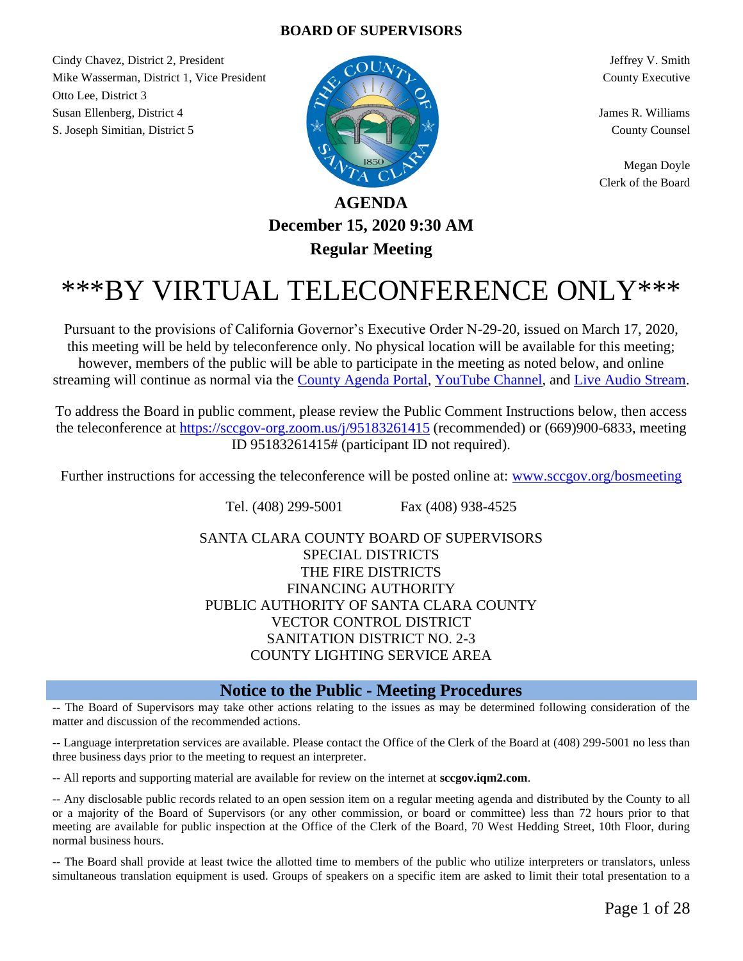#### **BOARD OF SUPERVISORS**

Cindy Chavez, District 2, President Jeffrey V. Smith Mike Wasserman, District 1, Vice President County Executive County Executive Otto Lee, District 3 Susan Ellenberg, District 4 James R. Williams S. Joseph Simitian, District 5 County Counsel



Megan Doyle Clerk of the Board

## **AGENDA December 15, 2020 9:30 AM Regular Meeting**

# \*\*\*BY VIRTUAL TELECONFERENCE ONLY\*\*\*

Pursuant to the provisions of California Governor's Executive Order N-29-20, issued on March 17, 2020, this meeting will be held by teleconference only. No physical location will be available for this meeting; however, members of the public will be able to participate in the meeting as noted below, and online streaming will continue as normal via the [County Agenda Portal,](http://sccgov.iqm2.com/Citizens/default.aspx?departmentid=1179&frame=no) [YouTube Channel,](https://www.youtube.com/channel/UCF4DoI6Shq5PtVGaQRrAerw) and [Live Audio Stream.](http://listen.shoutcast.com/SCC-BOS-Chambers-Livestream.m3u)

To address the Board in public comment, please review the Public Comment Instructions below, then access the teleconference at<https://sccgov-org.zoom.us/j/95183261415> (recommended) or (669)900-6833, meeting ID 95183261415# (participant ID not required).

Further instructions for accessing the teleconference will be posted online at: [www.sccgov.org/bosmeeting](http://www.sccgov.org/bosmeeting)

Tel. (408) 299-5001 Fax (408) 938-4525

SANTA CLARA COUNTY BOARD OF SUPERVISORS SPECIAL DISTRICTS THE FIRE DISTRICTS FINANCING AUTHORITY PUBLIC AUTHORITY OF SANTA CLARA COUNTY VECTOR CONTROL DISTRICT SANITATION DISTRICT NO. 2-3 COUNTY LIGHTING SERVICE AREA

#### **Notice to the Public - Meeting Procedures**

-- The Board of Supervisors may take other actions relating to the issues as may be determined following consideration of the matter and discussion of the recommended actions.

-- Language interpretation services are available. Please contact the Office of the Clerk of the Board at (408) 299-5001 no less than three business days prior to the meeting to request an interpreter.

-- All reports and supporting material are available for review on the internet at **sccgov.iqm2.com**.

-- Any disclosable public records related to an open session item on a regular meeting agenda and distributed by the County to all or a majority of the Board of Supervisors (or any other commission, or board or committee) less than 72 hours prior to that meeting are available for public inspection at the Office of the Clerk of the Board, 70 West Hedding Street, 10th Floor, during normal business hours.

-- The Board shall provide at least twice the allotted time to members of the public who utilize interpreters or translators, unless simultaneous translation equipment is used. Groups of speakers on a specific item are asked to limit their total presentation to a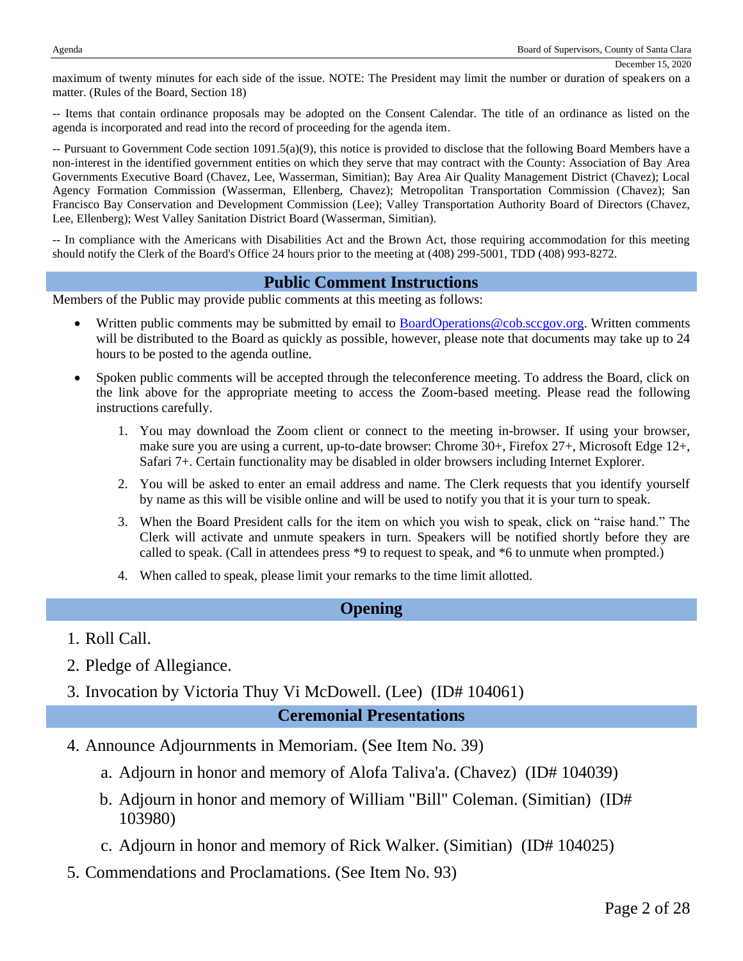maximum of twenty minutes for each side of the issue. NOTE: The President may limit the number or duration of speakers on a matter. (Rules of the Board, Section 18)

-- Items that contain ordinance proposals may be adopted on the Consent Calendar. The title of an ordinance as listed on the agenda is incorporated and read into the record of proceeding for the agenda item.

-- Pursuant to Government Code section 1091.5(a)(9), this notice is provided to disclose that the following Board Members have a non-interest in the identified government entities on which they serve that may contract with the County: Association of Bay Area Governments Executive Board (Chavez, Lee, Wasserman, Simitian); Bay Area Air Quality Management District (Chavez); Local Agency Formation Commission (Wasserman, Ellenberg, Chavez); Metropolitan Transportation Commission (Chavez); San Francisco Bay Conservation and Development Commission (Lee); Valley Transportation Authority Board of Directors (Chavez, Lee, Ellenberg); West Valley Sanitation District Board (Wasserman, Simitian).

-- In compliance with the Americans with Disabilities Act and the Brown Act, those requiring accommodation for this meeting should notify the Clerk of the Board's Office 24 hours prior to the meeting at (408) 299-5001, TDD (408) 993-8272.

#### **Public Comment Instructions**

Members of the Public may provide public comments at this meeting as follows:

- Written public comments may be submitted by email to **[BoardOperations@cob.sccgov.org.](mailto:BoardOperations@cob.sccgov.org)** Written comments will be distributed to the Board as quickly as possible, however, please note that documents may take up to 24 hours to be posted to the agenda outline.
- Spoken public comments will be accepted through the teleconference meeting. To address the Board, click on the link above for the appropriate meeting to access the Zoom-based meeting. Please read the following instructions carefully.
	- 1. You may download the Zoom client or connect to the meeting in-browser. If using your browser, make sure you are using a current, up-to-date browser: Chrome 30+, Firefox 27+, Microsoft Edge 12+, Safari 7+. Certain functionality may be disabled in older browsers including Internet Explorer.
	- 2. You will be asked to enter an email address and name. The Clerk requests that you identify yourself by name as this will be visible online and will be used to notify you that it is your turn to speak.
	- 3. When the Board President calls for the item on which you wish to speak, click on "raise hand." The Clerk will activate and unmute speakers in turn. Speakers will be notified shortly before they are called to speak. (Call in attendees press \*9 to request to speak, and \*6 to unmute when prompted.)
	- 4. When called to speak, please limit your remarks to the time limit allotted.

## **Opening**

- 1. Roll Call.
- 2. Pledge of Allegiance.
- 3. Invocation by Victoria Thuy Vi McDowell. (Lee) (ID# 104061)

#### **Ceremonial Presentations**

- 4. Announce Adjournments in Memoriam. (See Item No. 39)
	- a. Adjourn in honor and memory of Alofa Taliva'a. (Chavez) (ID# 104039)
	- b. Adjourn in honor and memory of William "Bill" Coleman. (Simitian) (ID# 103980)
	- c. Adjourn in honor and memory of Rick Walker. (Simitian) (ID# 104025)
- 5. Commendations and Proclamations. (See Item No. 93)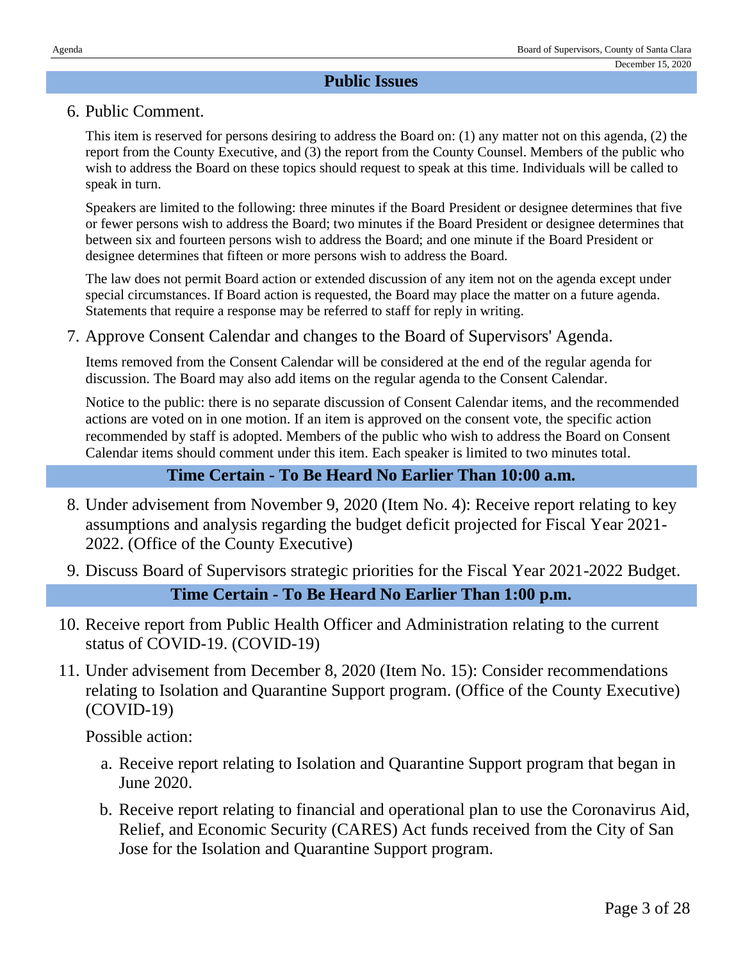## **Public Issues**

#### 6. Public Comment.

This item is reserved for persons desiring to address the Board on: (1) any matter not on this agenda, (2) the report from the County Executive, and (3) the report from the County Counsel. Members of the public who wish to address the Board on these topics should request to speak at this time. Individuals will be called to speak in turn.

Speakers are limited to the following: three minutes if the Board President or designee determines that five or fewer persons wish to address the Board; two minutes if the Board President or designee determines that between six and fourteen persons wish to address the Board; and one minute if the Board President or designee determines that fifteen or more persons wish to address the Board.

The law does not permit Board action or extended discussion of any item not on the agenda except under special circumstances. If Board action is requested, the Board may place the matter on a future agenda. Statements that require a response may be referred to staff for reply in writing.

7. Approve Consent Calendar and changes to the Board of Supervisors' Agenda.

Items removed from the Consent Calendar will be considered at the end of the regular agenda for discussion. The Board may also add items on the regular agenda to the Consent Calendar.

Notice to the public: there is no separate discussion of Consent Calendar items, and the recommended actions are voted on in one motion. If an item is approved on the consent vote, the specific action recommended by staff is adopted. Members of the public who wish to address the Board on Consent Calendar items should comment under this item. Each speaker is limited to two minutes total.

## **Time Certain - To Be Heard No Earlier Than 10:00 a.m.**

- 8. Under advisement from November 9, 2020 (Item No. 4): Receive report relating to key assumptions and analysis regarding the budget deficit projected for Fiscal Year 2021- 2022. (Office of the County Executive)
- 9. Discuss Board of Supervisors strategic priorities for the Fiscal Year 2021-2022 Budget.

**Time Certain - To Be Heard No Earlier Than 1:00 p.m.**

- 10. Receive report from Public Health Officer and Administration relating to the current status of COVID-19. (COVID-19)
- 11. Under advisement from December 8, 2020 (Item No. 15): Consider recommendations relating to Isolation and Quarantine Support program. (Office of the County Executive) (COVID-19)

- a. Receive report relating to Isolation and Quarantine Support program that began in June 2020.
- b. Receive report relating to financial and operational plan to use the Coronavirus Aid, Relief, and Economic Security (CARES) Act funds received from the City of San Jose for the Isolation and Quarantine Support program.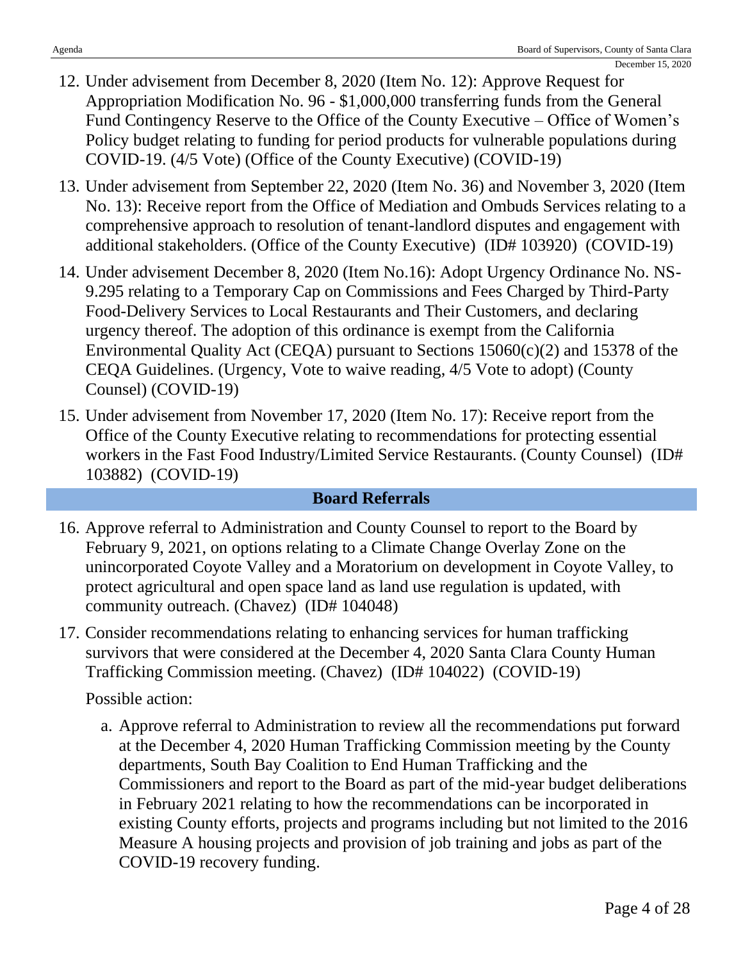- 12. Under advisement from December 8, 2020 (Item No. 12): Approve Request for Appropriation Modification No. 96 - \$1,000,000 transferring funds from the General Fund Contingency Reserve to the Office of the County Executive – Office of Women's Policy budget relating to funding for period products for vulnerable populations during COVID-19. (4/5 Vote) (Office of the County Executive) (COVID-19)
- 13. Under advisement from September 22, 2020 (Item No. 36) and November 3, 2020 (Item No. 13): Receive report from the Office of Mediation and Ombuds Services relating to a comprehensive approach to resolution of tenant-landlord disputes and engagement with additional stakeholders. (Office of the County Executive) (ID# 103920) (COVID-19)
- 14. Under advisement December 8, 2020 (Item No.16): Adopt Urgency Ordinance No. NS-9.295 relating to a Temporary Cap on Commissions and Fees Charged by Third-Party Food-Delivery Services to Local Restaurants and Their Customers, and declaring urgency thereof. The adoption of this ordinance is exempt from the California Environmental Quality Act (CEQA) pursuant to Sections 15060(c)(2) and 15378 of the CEQA Guidelines. (Urgency, Vote to waive reading, 4/5 Vote to adopt) (County Counsel) (COVID-19)
- 15. Under advisement from November 17, 2020 (Item No. 17): Receive report from the Office of the County Executive relating to recommendations for protecting essential workers in the Fast Food Industry/Limited Service Restaurants. (County Counsel) (ID# 103882) (COVID-19)

## **Board Referrals**

- 16. Approve referral to Administration and County Counsel to report to the Board by February 9, 2021, on options relating to a Climate Change Overlay Zone on the unincorporated Coyote Valley and a Moratorium on development in Coyote Valley, to protect agricultural and open space land as land use regulation is updated, with community outreach. (Chavez) (ID# 104048)
- 17. Consider recommendations relating to enhancing services for human trafficking survivors that were considered at the December 4, 2020 Santa Clara County Human Trafficking Commission meeting. (Chavez) (ID# 104022) (COVID-19)

Possible action:

a. Approve referral to Administration to review all the recommendations put forward at the December 4, 2020 Human Trafficking Commission meeting by the County departments, South Bay Coalition to End Human Trafficking and the Commissioners and report to the Board as part of the mid-year budget deliberations in February 2021 relating to how the recommendations can be incorporated in existing County efforts, projects and programs including but not limited to the 2016 Measure A housing projects and provision of job training and jobs as part of the COVID-19 recovery funding.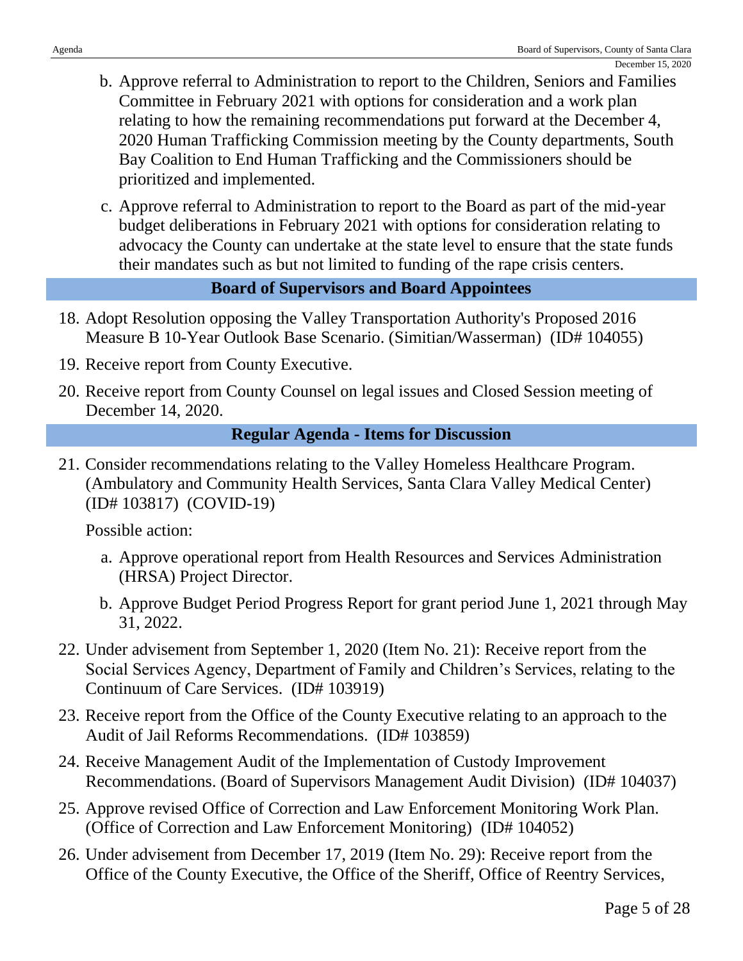- b. Approve referral to Administration to report to the Children, Seniors and Families Committee in February 2021 with options for consideration and a work plan relating to how the remaining recommendations put forward at the December 4, 2020 Human Trafficking Commission meeting by the County departments, South Bay Coalition to End Human Trafficking and the Commissioners should be prioritized and implemented.
- c. Approve referral to Administration to report to the Board as part of the mid-year budget deliberations in February 2021 with options for consideration relating to advocacy the County can undertake at the state level to ensure that the state funds their mandates such as but not limited to funding of the rape crisis centers.

## **Board of Supervisors and Board Appointees**

- 18. Adopt Resolution opposing the Valley Transportation Authority's Proposed 2016 Measure B 10-Year Outlook Base Scenario. (Simitian/Wasserman) (ID# 104055)
- 19. Receive report from County Executive.
- 20. Receive report from County Counsel on legal issues and Closed Session meeting of December 14, 2020.

## **Regular Agenda - Items for Discussion**

21. Consider recommendations relating to the Valley Homeless Healthcare Program. (Ambulatory and Community Health Services, Santa Clara Valley Medical Center) (ID# 103817) (COVID-19)

- a. Approve operational report from Health Resources and Services Administration (HRSA) Project Director.
- b. Approve Budget Period Progress Report for grant period June 1, 2021 through May 31, 2022.
- 22. Under advisement from September 1, 2020 (Item No. 21): Receive report from the Social Services Agency, Department of Family and Children's Services, relating to the Continuum of Care Services. (ID# 103919)
- 23. Receive report from the Office of the County Executive relating to an approach to the Audit of Jail Reforms Recommendations. (ID# 103859)
- 24. Receive Management Audit of the Implementation of Custody Improvement Recommendations. (Board of Supervisors Management Audit Division) (ID# 104037)
- 25. Approve revised Office of Correction and Law Enforcement Monitoring Work Plan. (Office of Correction and Law Enforcement Monitoring) (ID# 104052)
- 26. Under advisement from December 17, 2019 (Item No. 29): Receive report from the Office of the County Executive, the Office of the Sheriff, Office of Reentry Services,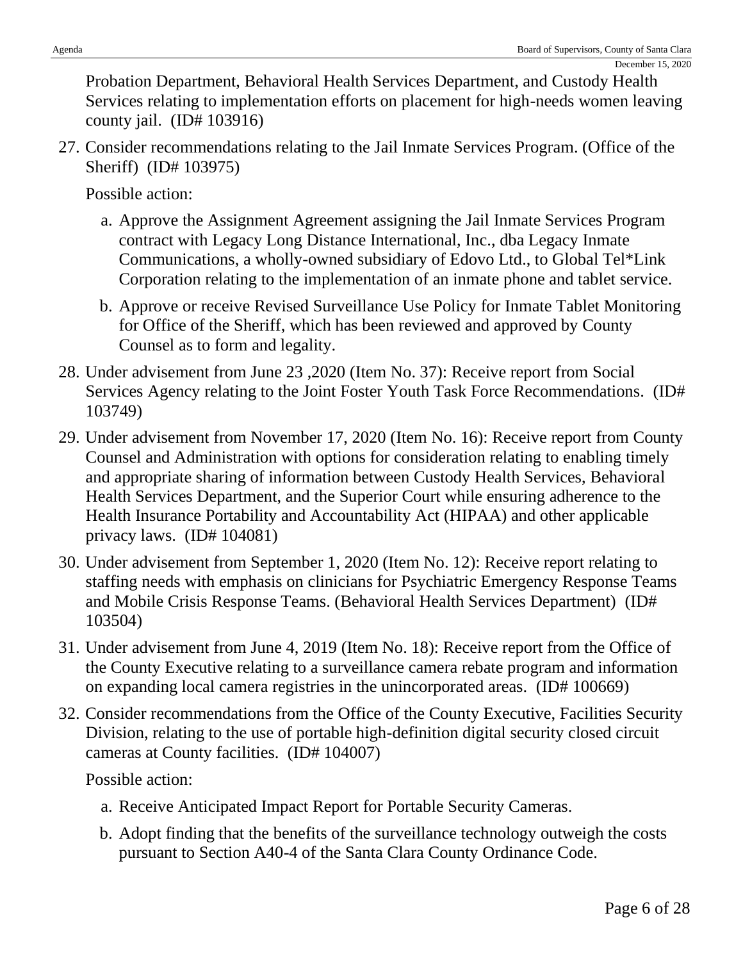Probation Department, Behavioral Health Services Department, and Custody Health Services relating to implementation efforts on placement for high-needs women leaving county jail. (ID# 103916)

27. Consider recommendations relating to the Jail Inmate Services Program. (Office of the Sheriff) (ID# 103975)

Possible action:

- a. Approve the Assignment Agreement assigning the Jail Inmate Services Program contract with Legacy Long Distance International, Inc., dba Legacy Inmate Communications, a wholly-owned subsidiary of Edovo Ltd., to Global Tel\*Link Corporation relating to the implementation of an inmate phone and tablet service.
- b. Approve or receive Revised Surveillance Use Policy for Inmate Tablet Monitoring for Office of the Sheriff, which has been reviewed and approved by County Counsel as to form and legality.
- 28. Under advisement from June 23 ,2020 (Item No. 37): Receive report from Social Services Agency relating to the Joint Foster Youth Task Force Recommendations. (ID# 103749)
- 29. Under advisement from November 17, 2020 (Item No. 16): Receive report from County Counsel and Administration with options for consideration relating to enabling timely and appropriate sharing of information between Custody Health Services, Behavioral Health Services Department, and the Superior Court while ensuring adherence to the Health Insurance Portability and Accountability Act (HIPAA) and other applicable privacy laws. (ID# 104081)
- 30. Under advisement from September 1, 2020 (Item No. 12): Receive report relating to staffing needs with emphasis on clinicians for Psychiatric Emergency Response Teams and Mobile Crisis Response Teams. (Behavioral Health Services Department) (ID# 103504)
- 31. Under advisement from June 4, 2019 (Item No. 18): Receive report from the Office of the County Executive relating to a surveillance camera rebate program and information on expanding local camera registries in the unincorporated areas. (ID# 100669)
- 32. Consider recommendations from the Office of the County Executive, Facilities Security Division, relating to the use of portable high-definition digital security closed circuit cameras at County facilities. (ID# 104007)

- a. Receive Anticipated Impact Report for Portable Security Cameras.
- b. Adopt finding that the benefits of the surveillance technology outweigh the costs pursuant to Section A40-4 of the Santa Clara County Ordinance Code.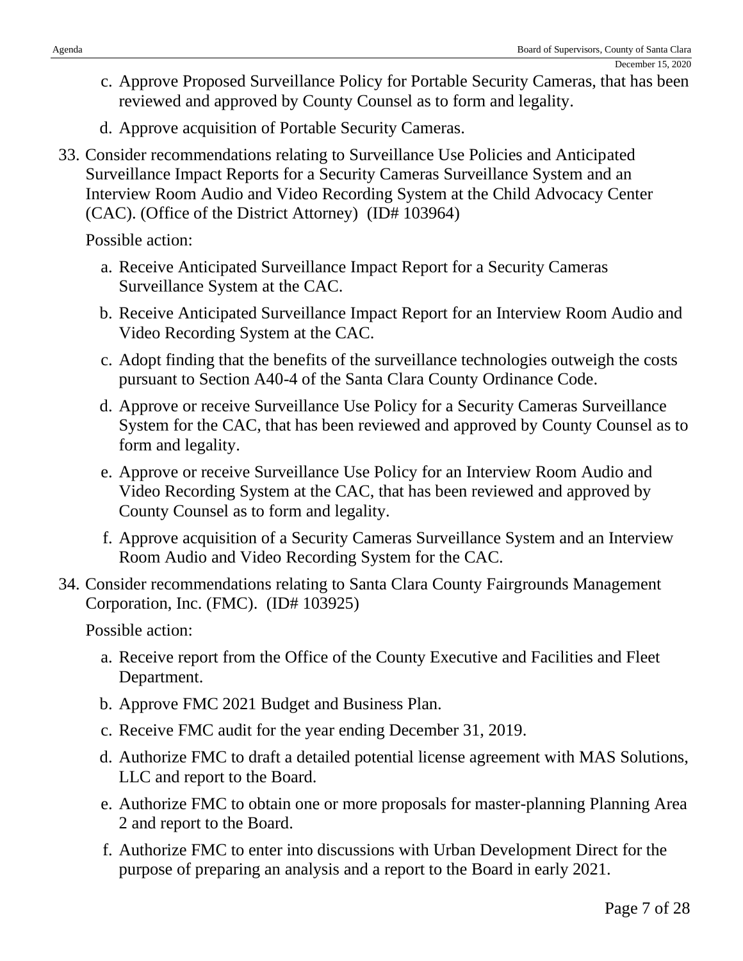- c. Approve Proposed Surveillance Policy for Portable Security Cameras, that has been reviewed and approved by County Counsel as to form and legality.
- d. Approve acquisition of Portable Security Cameras.
- 33. Consider recommendations relating to Surveillance Use Policies and Anticipated Surveillance Impact Reports for a Security Cameras Surveillance System and an Interview Room Audio and Video Recording System at the Child Advocacy Center (CAC). (Office of the District Attorney) (ID# 103964)

Possible action:

- a. Receive Anticipated Surveillance Impact Report for a Security Cameras Surveillance System at the CAC.
- b. Receive Anticipated Surveillance Impact Report for an Interview Room Audio and Video Recording System at the CAC.
- c. Adopt finding that the benefits of the surveillance technologies outweigh the costs pursuant to Section A40-4 of the Santa Clara County Ordinance Code.
- d. Approve or receive Surveillance Use Policy for a Security Cameras Surveillance System for the CAC, that has been reviewed and approved by County Counsel as to form and legality.
- e. Approve or receive Surveillance Use Policy for an Interview Room Audio and Video Recording System at the CAC, that has been reviewed and approved by County Counsel as to form and legality.
- f. Approve acquisition of a Security Cameras Surveillance System and an Interview Room Audio and Video Recording System for the CAC.
- 34. Consider recommendations relating to Santa Clara County Fairgrounds Management Corporation, Inc. (FMC). (ID# 103925)

- a. Receive report from the Office of the County Executive and Facilities and Fleet Department.
- b. Approve FMC 2021 Budget and Business Plan.
- c. Receive FMC audit for the year ending December 31, 2019.
- d. Authorize FMC to draft a detailed potential license agreement with MAS Solutions, LLC and report to the Board.
- e. Authorize FMC to obtain one or more proposals for master-planning Planning Area 2 and report to the Board.
- f. Authorize FMC to enter into discussions with Urban Development Direct for the purpose of preparing an analysis and a report to the Board in early 2021.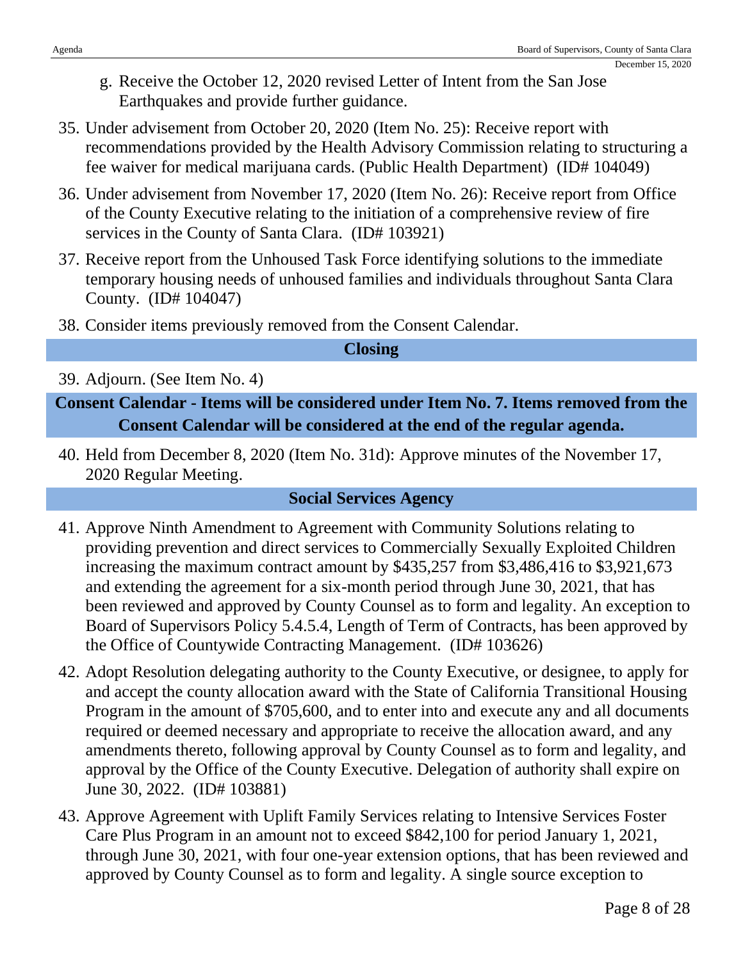- g. Receive the October 12, 2020 revised Letter of Intent from the San Jose Earthquakes and provide further guidance.
- 35. Under advisement from October 20, 2020 (Item No. 25): Receive report with recommendations provided by the Health Advisory Commission relating to structuring a fee waiver for medical marijuana cards. (Public Health Department) (ID# 104049)
- 36. Under advisement from November 17, 2020 (Item No. 26): Receive report from Office of the County Executive relating to the initiation of a comprehensive review of fire services in the County of Santa Clara. (ID# 103921)
- 37. Receive report from the Unhoused Task Force identifying solutions to the immediate temporary housing needs of unhoused families and individuals throughout Santa Clara County. (ID# 104047)
- 38. Consider items previously removed from the Consent Calendar.

## **Closing**

39. Adjourn. (See Item No. 4)

**Consent Calendar - Items will be considered under Item No. 7. Items removed from the Consent Calendar will be considered at the end of the regular agenda.**

40. Held from December 8, 2020 (Item No. 31d): Approve minutes of the November 17, 2020 Regular Meeting.

## **Social Services Agency**

- 41. Approve Ninth Amendment to Agreement with Community Solutions relating to providing prevention and direct services to Commercially Sexually Exploited Children increasing the maximum contract amount by \$435,257 from \$3,486,416 to \$3,921,673 and extending the agreement for a six-month period through June 30, 2021, that has been reviewed and approved by County Counsel as to form and legality. An exception to Board of Supervisors Policy 5.4.5.4, Length of Term of Contracts, has been approved by the Office of Countywide Contracting Management. (ID# 103626)
- 42. Adopt Resolution delegating authority to the County Executive, or designee, to apply for and accept the county allocation award with the State of California Transitional Housing Program in the amount of \$705,600, and to enter into and execute any and all documents required or deemed necessary and appropriate to receive the allocation award, and any amendments thereto, following approval by County Counsel as to form and legality, and approval by the Office of the County Executive. Delegation of authority shall expire on June 30, 2022. (ID# 103881)
- 43. Approve Agreement with Uplift Family Services relating to Intensive Services Foster Care Plus Program in an amount not to exceed \$842,100 for period January 1, 2021, through June 30, 2021, with four one-year extension options, that has been reviewed and approved by County Counsel as to form and legality. A single source exception to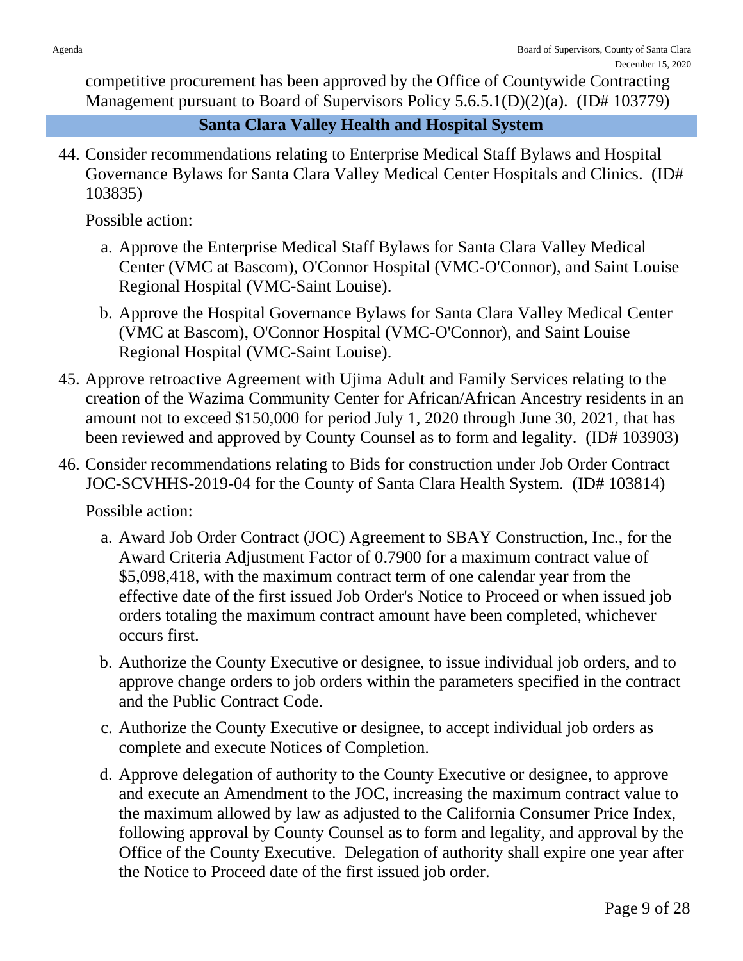competitive procurement has been approved by the Office of Countywide Contracting Management pursuant to Board of Supervisors Policy 5.6.5.1(D)(2)(a). (ID# 103779)

## **Santa Clara Valley Health and Hospital System**

44. Consider recommendations relating to Enterprise Medical Staff Bylaws and Hospital Governance Bylaws for Santa Clara Valley Medical Center Hospitals and Clinics. (ID# 103835)

Possible action:

- a. Approve the Enterprise Medical Staff Bylaws for Santa Clara Valley Medical Center (VMC at Bascom), O'Connor Hospital (VMC-O'Connor), and Saint Louise Regional Hospital (VMC-Saint Louise).
- b. Approve the Hospital Governance Bylaws for Santa Clara Valley Medical Center (VMC at Bascom), O'Connor Hospital (VMC-O'Connor), and Saint Louise Regional Hospital (VMC-Saint Louise).
- 45. Approve retroactive Agreement with Ujima Adult and Family Services relating to the creation of the Wazima Community Center for African/African Ancestry residents in an amount not to exceed \$150,000 for period July 1, 2020 through June 30, 2021, that has been reviewed and approved by County Counsel as to form and legality. (ID# 103903)
- 46. Consider recommendations relating to Bids for construction under Job Order Contract JOC-SCVHHS-2019-04 for the County of Santa Clara Health System. (ID# 103814)

- a. Award Job Order Contract (JOC) Agreement to SBAY Construction, Inc., for the Award Criteria Adjustment Factor of 0.7900 for a maximum contract value of \$5,098,418, with the maximum contract term of one calendar year from the effective date of the first issued Job Order's Notice to Proceed or when issued job orders totaling the maximum contract amount have been completed, whichever occurs first.
- b. Authorize the County Executive or designee, to issue individual job orders, and to approve change orders to job orders within the parameters specified in the contract and the Public Contract Code.
- c. Authorize the County Executive or designee, to accept individual job orders as complete and execute Notices of Completion.
- d. Approve delegation of authority to the County Executive or designee, to approve and execute an Amendment to the JOC, increasing the maximum contract value to the maximum allowed by law as adjusted to the California Consumer Price Index, following approval by County Counsel as to form and legality, and approval by the Office of the County Executive. Delegation of authority shall expire one year after the Notice to Proceed date of the first issued job order.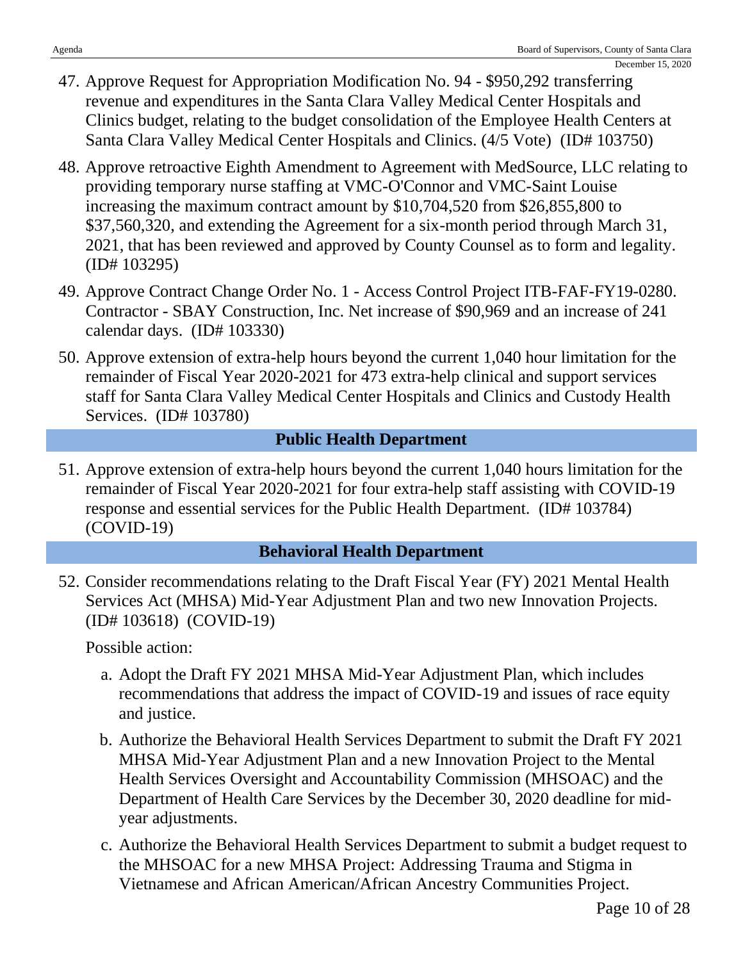- 47. Approve Request for Appropriation Modification No. 94 \$950,292 transferring revenue and expenditures in the Santa Clara Valley Medical Center Hospitals and Clinics budget, relating to the budget consolidation of the Employee Health Centers at Santa Clara Valley Medical Center Hospitals and Clinics. (4/5 Vote) (ID# 103750)
- 48. Approve retroactive Eighth Amendment to Agreement with MedSource, LLC relating to providing temporary nurse staffing at VMC-O'Connor and VMC-Saint Louise increasing the maximum contract amount by \$10,704,520 from \$26,855,800 to \$37,560,320, and extending the Agreement for a six-month period through March 31, 2021, that has been reviewed and approved by County Counsel as to form and legality. (ID# 103295)
- 49. Approve Contract Change Order No. 1 Access Control Project ITB-FAF-FY19-0280. Contractor - SBAY Construction, Inc. Net increase of \$90,969 and an increase of 241 calendar days. (ID# 103330)
- 50. Approve extension of extra-help hours beyond the current 1,040 hour limitation for the remainder of Fiscal Year 2020-2021 for 473 extra-help clinical and support services staff for Santa Clara Valley Medical Center Hospitals and Clinics and Custody Health Services. (ID# 103780)

## **Public Health Department**

51. Approve extension of extra-help hours beyond the current 1,040 hours limitation for the remainder of Fiscal Year 2020-2021 for four extra-help staff assisting with COVID-19 response and essential services for the Public Health Department. (ID# 103784) (COVID-19)

## **Behavioral Health Department**

52. Consider recommendations relating to the Draft Fiscal Year (FY) 2021 Mental Health Services Act (MHSA) Mid-Year Adjustment Plan and two new Innovation Projects. (ID# 103618) (COVID-19)

- a. Adopt the Draft FY 2021 MHSA Mid-Year Adjustment Plan, which includes recommendations that address the impact of COVID-19 and issues of race equity and justice.
- b. Authorize the Behavioral Health Services Department to submit the Draft FY 2021 MHSA Mid-Year Adjustment Plan and a new Innovation Project to the Mental Health Services Oversight and Accountability Commission (MHSOAC) and the Department of Health Care Services by the December 30, 2020 deadline for midyear adjustments.
- c. Authorize the Behavioral Health Services Department to submit a budget request to the MHSOAC for a new MHSA Project: Addressing Trauma and Stigma in Vietnamese and African American/African Ancestry Communities Project.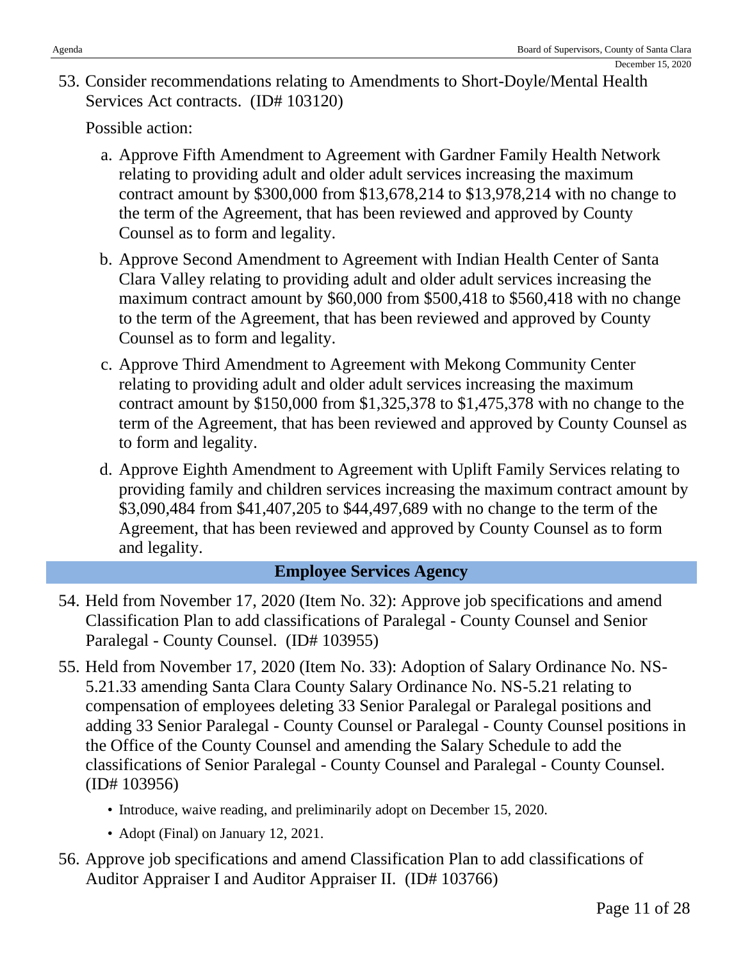53. Consider recommendations relating to Amendments to Short-Doyle/Mental Health Services Act contracts. (ID# 103120)

Possible action:

- a. Approve Fifth Amendment to Agreement with Gardner Family Health Network relating to providing adult and older adult services increasing the maximum contract amount by \$300,000 from \$13,678,214 to \$13,978,214 with no change to the term of the Agreement, that has been reviewed and approved by County Counsel as to form and legality.
- b. Approve Second Amendment to Agreement with Indian Health Center of Santa Clara Valley relating to providing adult and older adult services increasing the maximum contract amount by \$60,000 from \$500,418 to \$560,418 with no change to the term of the Agreement, that has been reviewed and approved by County Counsel as to form and legality.
- c. Approve Third Amendment to Agreement with Mekong Community Center relating to providing adult and older adult services increasing the maximum contract amount by \$150,000 from \$1,325,378 to \$1,475,378 with no change to the term of the Agreement, that has been reviewed and approved by County Counsel as to form and legality.
- d. Approve Eighth Amendment to Agreement with Uplift Family Services relating to providing family and children services increasing the maximum contract amount by \$3,090,484 from \$41,407,205 to \$44,497,689 with no change to the term of the Agreement, that has been reviewed and approved by County Counsel as to form and legality.

## **Employee Services Agency**

- 54. Held from November 17, 2020 (Item No. 32): Approve job specifications and amend Classification Plan to add classifications of Paralegal - County Counsel and Senior Paralegal - County Counsel. (ID# 103955)
- 55. Held from November 17, 2020 (Item No. 33): Adoption of Salary Ordinance No. NS-5.21.33 amending Santa Clara County Salary Ordinance No. NS-5.21 relating to compensation of employees deleting 33 Senior Paralegal or Paralegal positions and adding 33 Senior Paralegal - County Counsel or Paralegal - County Counsel positions in the Office of the County Counsel and amending the Salary Schedule to add the classifications of Senior Paralegal - County Counsel and Paralegal - County Counsel. (ID# 103956)
	- Introduce, waive reading, and preliminarily adopt on December 15, 2020.
	- Adopt (Final) on January 12, 2021.
- 56. Approve job specifications and amend Classification Plan to add classifications of Auditor Appraiser I and Auditor Appraiser II. (ID# 103766)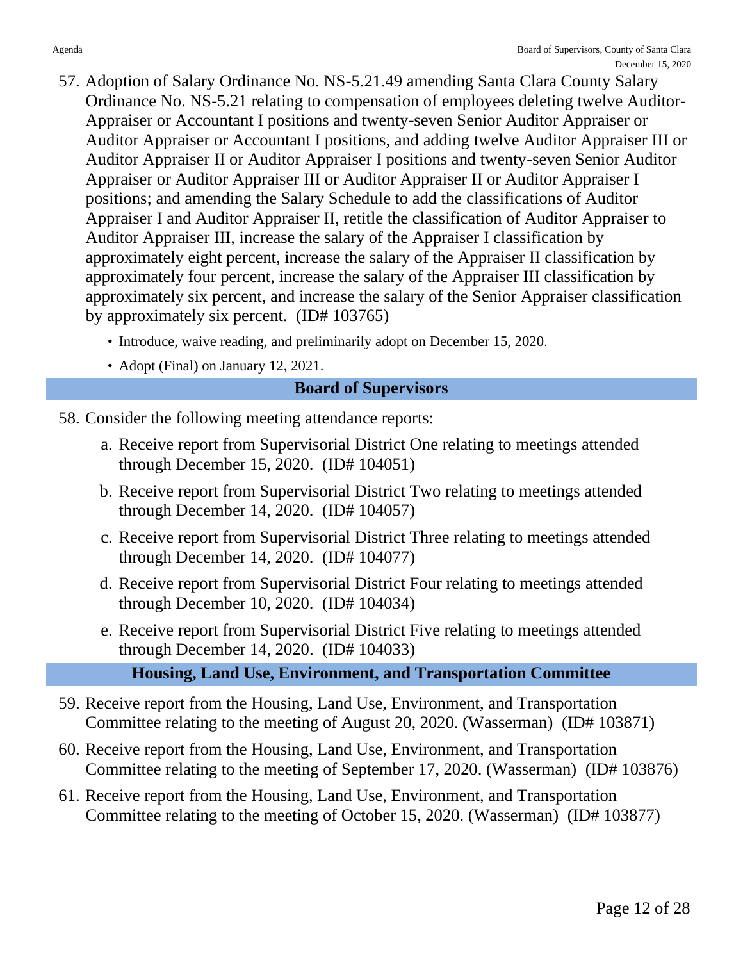- 57. Adoption of Salary Ordinance No. NS-5.21.49 amending Santa Clara County Salary Ordinance No. NS-5.21 relating to compensation of employees deleting twelve Auditor-Appraiser or Accountant I positions and twenty-seven Senior Auditor Appraiser or Auditor Appraiser or Accountant I positions, and adding twelve Auditor Appraiser III or Auditor Appraiser II or Auditor Appraiser I positions and twenty-seven Senior Auditor Appraiser or Auditor Appraiser III or Auditor Appraiser II or Auditor Appraiser I positions; and amending the Salary Schedule to add the classifications of Auditor Appraiser I and Auditor Appraiser II, retitle the classification of Auditor Appraiser to Auditor Appraiser III, increase the salary of the Appraiser I classification by approximately eight percent, increase the salary of the Appraiser II classification by approximately four percent, increase the salary of the Appraiser III classification by approximately six percent, and increase the salary of the Senior Appraiser classification by approximately six percent. (ID# 103765)
	- Introduce, waive reading, and preliminarily adopt on December 15, 2020.
	- Adopt (Final) on January 12, 2021.

## **Board of Supervisors**

- 58. Consider the following meeting attendance reports:
	- a. Receive report from Supervisorial District One relating to meetings attended through December 15, 2020. (ID# 104051)
	- b. Receive report from Supervisorial District Two relating to meetings attended through December 14, 2020. (ID# 104057)
	- c. Receive report from Supervisorial District Three relating to meetings attended through December 14, 2020. (ID# 104077)
	- d. Receive report from Supervisorial District Four relating to meetings attended through December 10, 2020. (ID# 104034)
	- e. Receive report from Supervisorial District Five relating to meetings attended through December 14, 2020. (ID# 104033)

**Housing, Land Use, Environment, and Transportation Committee**

- 59. Receive report from the Housing, Land Use, Environment, and Transportation Committee relating to the meeting of August 20, 2020. (Wasserman) (ID# 103871)
- 60. Receive report from the Housing, Land Use, Environment, and Transportation Committee relating to the meeting of September 17, 2020. (Wasserman) (ID# 103876)
- 61. Receive report from the Housing, Land Use, Environment, and Transportation Committee relating to the meeting of October 15, 2020. (Wasserman) (ID# 103877)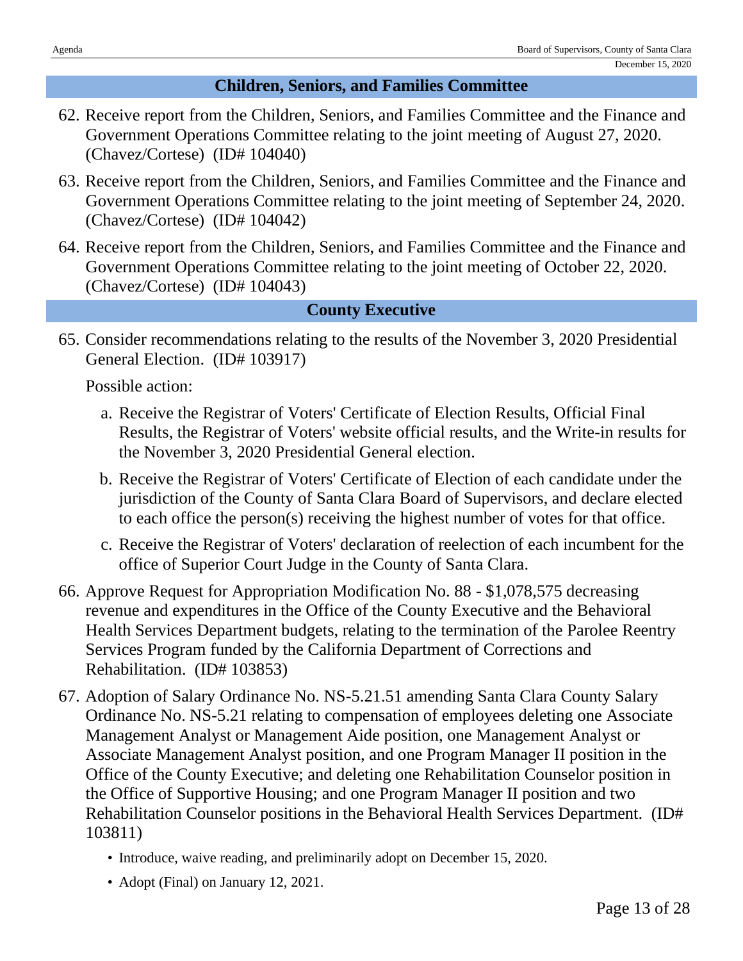## **Children, Seniors, and Families Committee**

- 62. Receive report from the Children, Seniors, and Families Committee and the Finance and Government Operations Committee relating to the joint meeting of August 27, 2020. (Chavez/Cortese) (ID# 104040)
- 63. Receive report from the Children, Seniors, and Families Committee and the Finance and Government Operations Committee relating to the joint meeting of September 24, 2020. (Chavez/Cortese) (ID# 104042)
- 64. Receive report from the Children, Seniors, and Families Committee and the Finance and Government Operations Committee relating to the joint meeting of October 22, 2020. (Chavez/Cortese) (ID# 104043)

## **County Executive**

65. Consider recommendations relating to the results of the November 3, 2020 Presidential General Election. (ID# 103917)

- a. Receive the Registrar of Voters' Certificate of Election Results, Official Final Results, the Registrar of Voters' website official results, and the Write-in results for the November 3, 2020 Presidential General election.
- b. Receive the Registrar of Voters' Certificate of Election of each candidate under the jurisdiction of the County of Santa Clara Board of Supervisors, and declare elected to each office the person(s) receiving the highest number of votes for that office.
- c. Receive the Registrar of Voters' declaration of reelection of each incumbent for the office of Superior Court Judge in the County of Santa Clara.
- 66. Approve Request for Appropriation Modification No. 88 \$1,078,575 decreasing revenue and expenditures in the Office of the County Executive and the Behavioral Health Services Department budgets, relating to the termination of the Parolee Reentry Services Program funded by the California Department of Corrections and Rehabilitation. (ID# 103853)
- 67. Adoption of Salary Ordinance No. NS-5.21.51 amending Santa Clara County Salary Ordinance No. NS-5.21 relating to compensation of employees deleting one Associate Management Analyst or Management Aide position, one Management Analyst or Associate Management Analyst position, and one Program Manager II position in the Office of the County Executive; and deleting one Rehabilitation Counselor position in the Office of Supportive Housing; and one Program Manager II position and two Rehabilitation Counselor positions in the Behavioral Health Services Department. (ID# 103811)
	- Introduce, waive reading, and preliminarily adopt on December 15, 2020.
	- Adopt (Final) on January 12, 2021.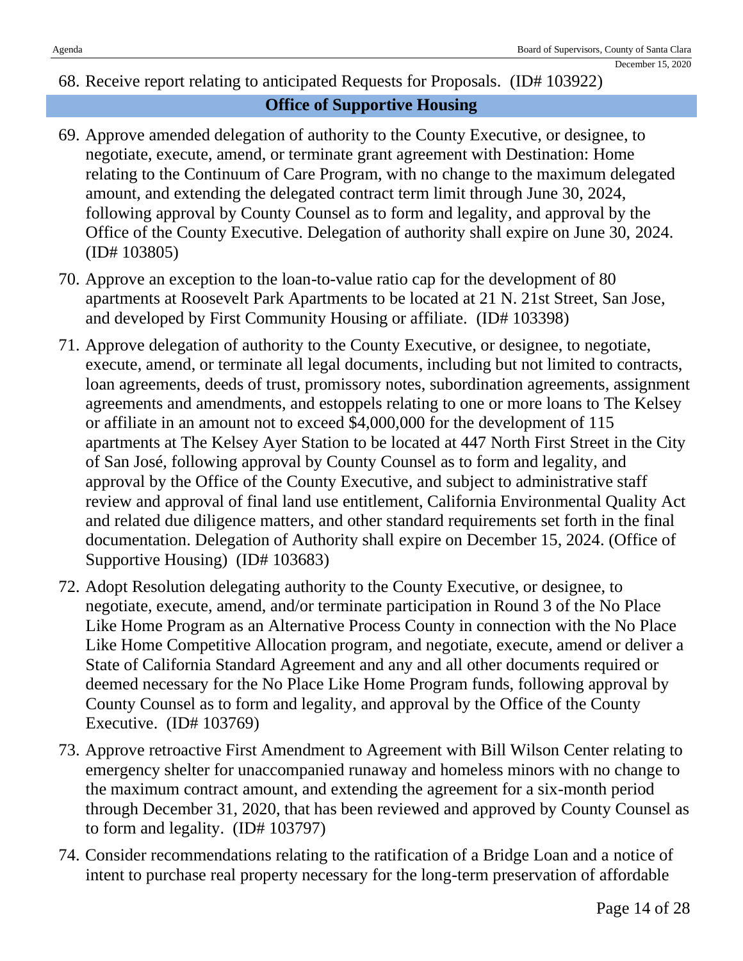## 68. Receive report relating to anticipated Requests for Proposals. (ID# 103922)

## **Office of Supportive Housing**

- 69. Approve amended delegation of authority to the County Executive, or designee, to negotiate, execute, amend, or terminate grant agreement with Destination: Home relating to the Continuum of Care Program, with no change to the maximum delegated amount, and extending the delegated contract term limit through June 30, 2024, following approval by County Counsel as to form and legality, and approval by the Office of the County Executive. Delegation of authority shall expire on June 30, 2024. (ID# 103805)
- 70. Approve an exception to the loan-to-value ratio cap for the development of 80 apartments at Roosevelt Park Apartments to be located at 21 N. 21st Street, San Jose, and developed by First Community Housing or affiliate. (ID# 103398)
- 71. Approve delegation of authority to the County Executive, or designee, to negotiate, execute, amend, or terminate all legal documents, including but not limited to contracts, loan agreements, deeds of trust, promissory notes, subordination agreements, assignment agreements and amendments, and estoppels relating to one or more loans to The Kelsey or affiliate in an amount not to exceed \$4,000,000 for the development of 115 apartments at The Kelsey Ayer Station to be located at 447 North First Street in the City of San José, following approval by County Counsel as to form and legality, and approval by the Office of the County Executive, and subject to administrative staff review and approval of final land use entitlement, California Environmental Quality Act and related due diligence matters, and other standard requirements set forth in the final documentation. Delegation of Authority shall expire on December 15, 2024. (Office of Supportive Housing) (ID# 103683)
- 72. Adopt Resolution delegating authority to the County Executive, or designee, to negotiate, execute, amend, and/or terminate participation in Round 3 of the No Place Like Home Program as an Alternative Process County in connection with the No Place Like Home Competitive Allocation program, and negotiate, execute, amend or deliver a State of California Standard Agreement and any and all other documents required or deemed necessary for the No Place Like Home Program funds, following approval by County Counsel as to form and legality, and approval by the Office of the County Executive. (ID# 103769)
- 73. Approve retroactive First Amendment to Agreement with Bill Wilson Center relating to emergency shelter for unaccompanied runaway and homeless minors with no change to the maximum contract amount, and extending the agreement for a six-month period through December 31, 2020, that has been reviewed and approved by County Counsel as to form and legality. (ID# 103797)
- 74. Consider recommendations relating to the ratification of a Bridge Loan and a notice of intent to purchase real property necessary for the long-term preservation of affordable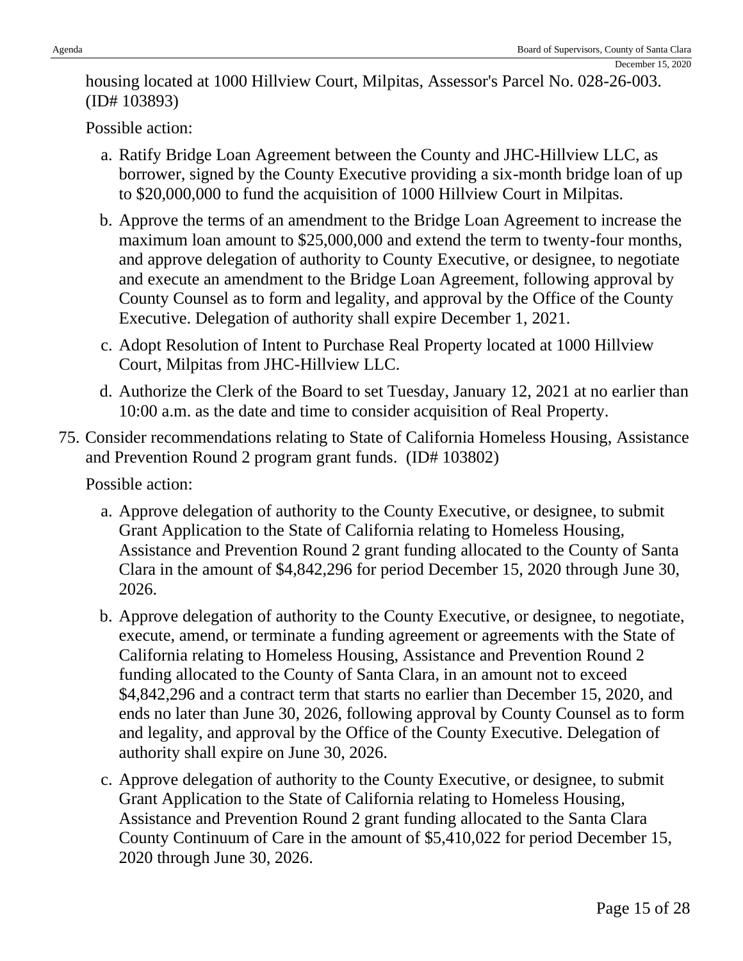December 15, 2020

Possible action:

- a. Ratify Bridge Loan Agreement between the County and JHC-Hillview LLC, as borrower, signed by the County Executive providing a six-month bridge loan of up to \$20,000,000 to fund the acquisition of 1000 Hillview Court in Milpitas.
- b. Approve the terms of an amendment to the Bridge Loan Agreement to increase the maximum loan amount to \$25,000,000 and extend the term to twenty-four months, and approve delegation of authority to County Executive, or designee, to negotiate and execute an amendment to the Bridge Loan Agreement, following approval by County Counsel as to form and legality, and approval by the Office of the County Executive. Delegation of authority shall expire December 1, 2021.
- c. Adopt Resolution of Intent to Purchase Real Property located at 1000 Hillview Court, Milpitas from JHC-Hillview LLC.
- d. Authorize the Clerk of the Board to set Tuesday, January 12, 2021 at no earlier than 10:00 a.m. as the date and time to consider acquisition of Real Property.
- 75. Consider recommendations relating to State of California Homeless Housing, Assistance and Prevention Round 2 program grant funds. (ID# 103802)

- a. Approve delegation of authority to the County Executive, or designee, to submit Grant Application to the State of California relating to Homeless Housing, Assistance and Prevention Round 2 grant funding allocated to the County of Santa Clara in the amount of \$4,842,296 for period December 15, 2020 through June 30, 2026.
- b. Approve delegation of authority to the County Executive, or designee, to negotiate, execute, amend, or terminate a funding agreement or agreements with the State of California relating to Homeless Housing, Assistance and Prevention Round 2 funding allocated to the County of Santa Clara, in an amount not to exceed \$4,842,296 and a contract term that starts no earlier than December 15, 2020, and ends no later than June 30, 2026, following approval by County Counsel as to form and legality, and approval by the Office of the County Executive. Delegation of authority shall expire on June 30, 2026.
- c. Approve delegation of authority to the County Executive, or designee, to submit Grant Application to the State of California relating to Homeless Housing, Assistance and Prevention Round 2 grant funding allocated to the Santa Clara County Continuum of Care in the amount of \$5,410,022 for period December 15, 2020 through June 30, 2026.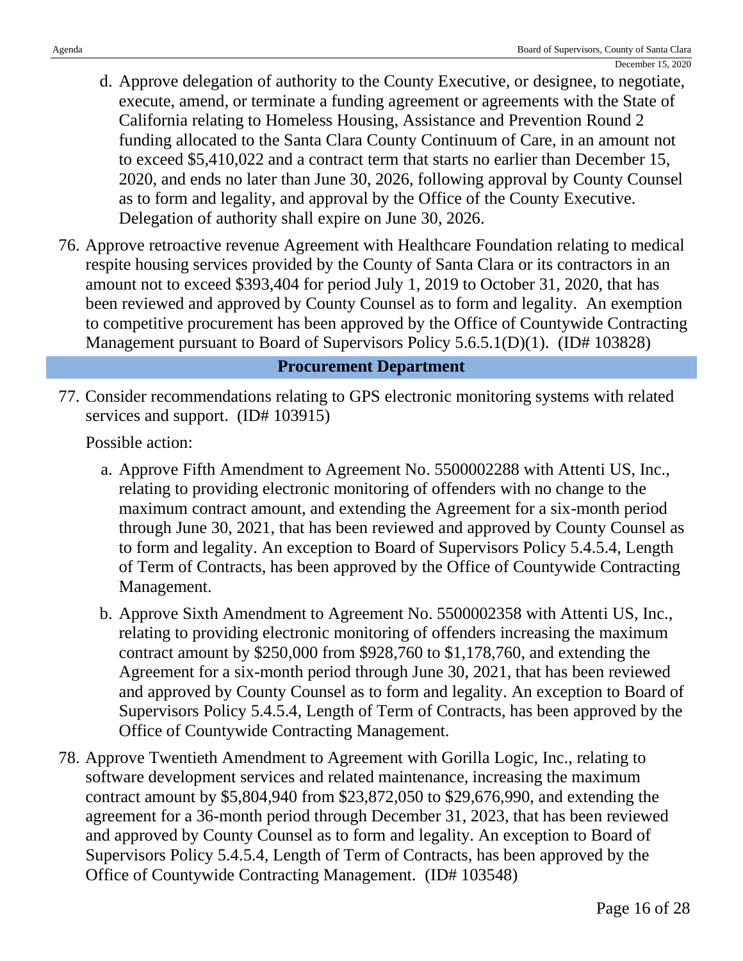- d. Approve delegation of authority to the County Executive, or designee, to negotiate, execute, amend, or terminate a funding agreement or agreements with the State of California relating to Homeless Housing, Assistance and Prevention Round 2 funding allocated to the Santa Clara County Continuum of Care, in an amount not to exceed \$5,410,022 and a contract term that starts no earlier than December 15, 2020, and ends no later than June 30, 2026, following approval by County Counsel as to form and legality, and approval by the Office of the County Executive. Delegation of authority shall expire on June 30, 2026.
- 76. Approve retroactive revenue Agreement with Healthcare Foundation relating to medical respite housing services provided by the County of Santa Clara or its contractors in an amount not to exceed \$393,404 for period July 1, 2019 to October 31, 2020, that has been reviewed and approved by County Counsel as to form and legality. An exemption to competitive procurement has been approved by the Office of Countywide Contracting Management pursuant to Board of Supervisors Policy 5.6.5.1(D)(1). (ID# 103828)

#### **Procurement Department**

77. Consider recommendations relating to GPS electronic monitoring systems with related services and support. (ID# 103915)

- a. Approve Fifth Amendment to Agreement No. 5500002288 with Attenti US, Inc., relating to providing electronic monitoring of offenders with no change to the maximum contract amount, and extending the Agreement for a six-month period through June 30, 2021, that has been reviewed and approved by County Counsel as to form and legality. An exception to Board of Supervisors Policy 5.4.5.4, Length of Term of Contracts, has been approved by the Office of Countywide Contracting Management.
- b. Approve Sixth Amendment to Agreement No. 5500002358 with Attenti US, Inc., relating to providing electronic monitoring of offenders increasing the maximum contract amount by \$250,000 from \$928,760 to \$1,178,760, and extending the Agreement for a six-month period through June 30, 2021, that has been reviewed and approved by County Counsel as to form and legality. An exception to Board of Supervisors Policy 5.4.5.4, Length of Term of Contracts, has been approved by the Office of Countywide Contracting Management.
- 78. Approve Twentieth Amendment to Agreement with Gorilla Logic, Inc., relating to software development services and related maintenance, increasing the maximum contract amount by \$5,804,940 from \$23,872,050 to \$29,676,990, and extending the agreement for a 36-month period through December 31, 2023, that has been reviewed and approved by County Counsel as to form and legality. An exception to Board of Supervisors Policy 5.4.5.4, Length of Term of Contracts, has been approved by the Office of Countywide Contracting Management. (ID# 103548)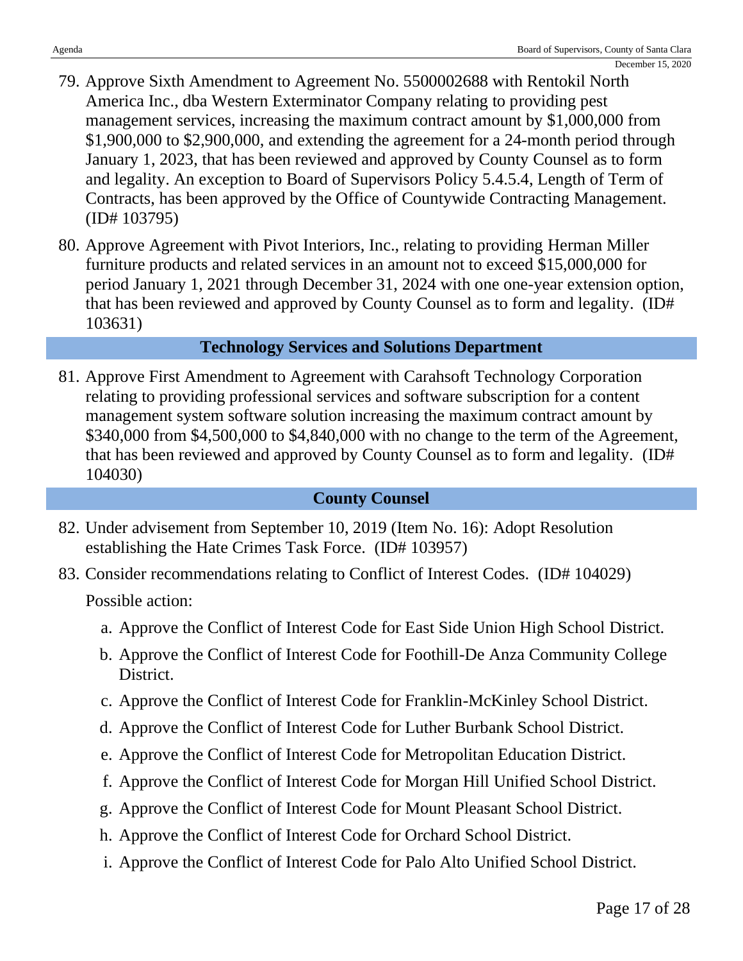- 79. Approve Sixth Amendment to Agreement No. 5500002688 with Rentokil North America Inc., dba Western Exterminator Company relating to providing pest management services, increasing the maximum contract amount by \$1,000,000 from \$1,900,000 to \$2,900,000, and extending the agreement for a 24-month period through January 1, 2023, that has been reviewed and approved by County Counsel as to form and legality. An exception to Board of Supervisors Policy 5.4.5.4, Length of Term of Contracts, has been approved by the Office of Countywide Contracting Management. (ID# 103795)
- 80. Approve Agreement with Pivot Interiors, Inc., relating to providing Herman Miller furniture products and related services in an amount not to exceed \$15,000,000 for period January 1, 2021 through December 31, 2024 with one one-year extension option, that has been reviewed and approved by County Counsel as to form and legality. (ID# 103631)

## **Technology Services and Solutions Department**

81. Approve First Amendment to Agreement with Carahsoft Technology Corporation relating to providing professional services and software subscription for a content management system software solution increasing the maximum contract amount by \$340,000 from \$4,500,000 to \$4,840,000 with no change to the term of the Agreement, that has been reviewed and approved by County Counsel as to form and legality. (ID# 104030)

## **County Counsel**

- 82. Under advisement from September 10, 2019 (Item No. 16): Adopt Resolution establishing the Hate Crimes Task Force. (ID# 103957)
- 83. Consider recommendations relating to Conflict of Interest Codes. (ID# 104029) Possible action:
	- a. Approve the Conflict of Interest Code for East Side Union High School District.
	- b. Approve the Conflict of Interest Code for Foothill-De Anza Community College District.
	- c. Approve the Conflict of Interest Code for Franklin-McKinley School District.
	- d. Approve the Conflict of Interest Code for Luther Burbank School District.
	- e. Approve the Conflict of Interest Code for Metropolitan Education District.
	- f. Approve the Conflict of Interest Code for Morgan Hill Unified School District.
	- g. Approve the Conflict of Interest Code for Mount Pleasant School District.
	- h. Approve the Conflict of Interest Code for Orchard School District.
	- i. Approve the Conflict of Interest Code for Palo Alto Unified School District.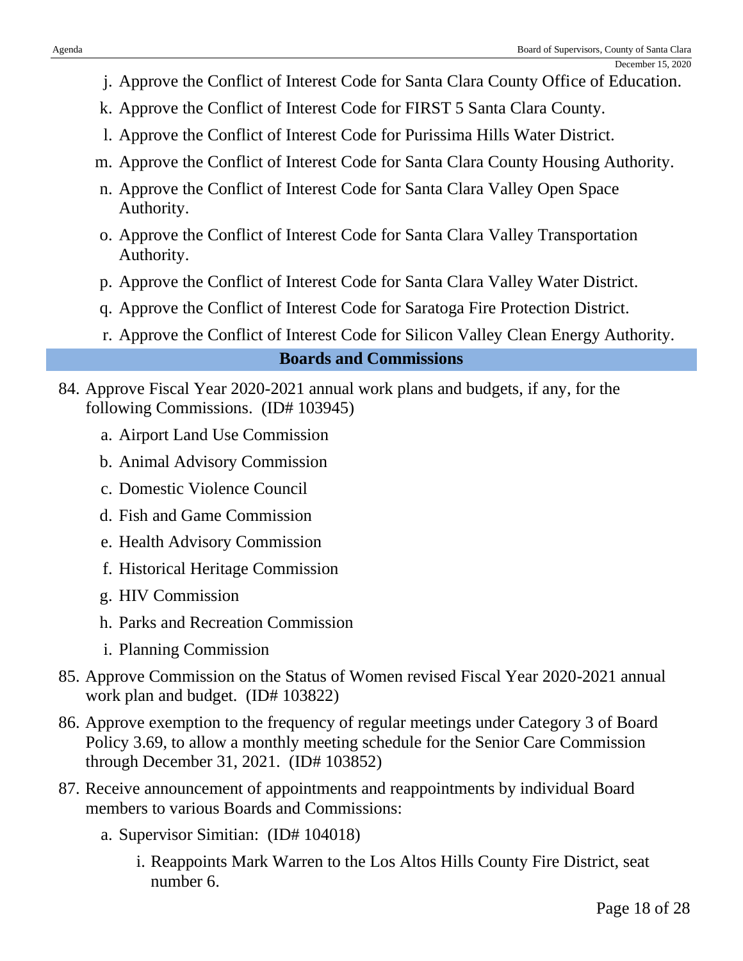- j. Approve the Conflict of Interest Code for Santa Clara County Office of Education.
- k. Approve the Conflict of Interest Code for FIRST 5 Santa Clara County.
- l. Approve the Conflict of Interest Code for Purissima Hills Water District.
- m. Approve the Conflict of Interest Code for Santa Clara County Housing Authority.
- n. Approve the Conflict of Interest Code for Santa Clara Valley Open Space Authority.
- o. Approve the Conflict of Interest Code for Santa Clara Valley Transportation Authority.
- p. Approve the Conflict of Interest Code for Santa Clara Valley Water District.
- q. Approve the Conflict of Interest Code for Saratoga Fire Protection District.
- r. Approve the Conflict of Interest Code for Silicon Valley Clean Energy Authority.

## **Boards and Commissions**

- 84. Approve Fiscal Year 2020-2021 annual work plans and budgets, if any, for the following Commissions. (ID# 103945)
	- a. Airport Land Use Commission
	- b. Animal Advisory Commission
	- c. Domestic Violence Council
	- d. Fish and Game Commission
	- e. Health Advisory Commission
	- f. Historical Heritage Commission
	- g. HIV Commission
	- h. Parks and Recreation Commission
	- i. Planning Commission
- 85. Approve Commission on the Status of Women revised Fiscal Year 2020-2021 annual work plan and budget. (ID# 103822)
- 86. Approve exemption to the frequency of regular meetings under Category 3 of Board Policy 3.69, to allow a monthly meeting schedule for the Senior Care Commission through December 31, 2021. (ID# 103852)
- 87. Receive announcement of appointments and reappointments by individual Board members to various Boards and Commissions:
	- a. Supervisor Simitian: (ID# 104018)
		- i. Reappoints Mark Warren to the Los Altos Hills County Fire District, seat number 6.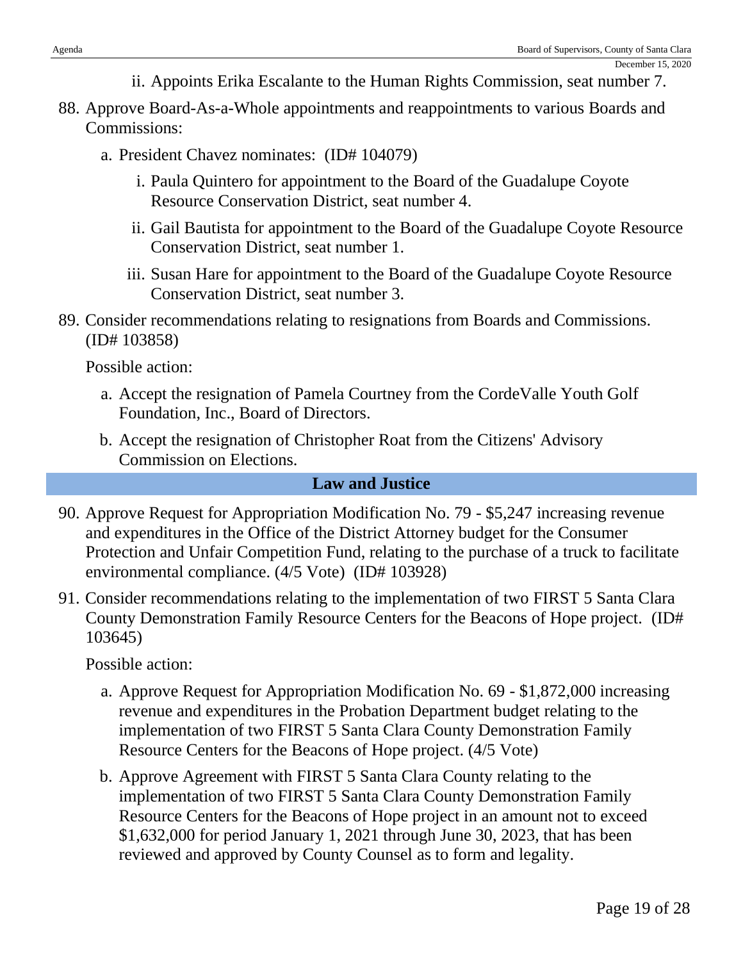- ii. Appoints Erika Escalante to the Human Rights Commission, seat number 7.
- 88. Approve Board-As-a-Whole appointments and reappointments to various Boards and Commissions:
	- a. President Chavez nominates: (ID# 104079)
		- i. Paula Quintero for appointment to the Board of the Guadalupe Coyote Resource Conservation District, seat number 4.
		- ii. Gail Bautista for appointment to the Board of the Guadalupe Coyote Resource Conservation District, seat number 1.
		- iii. Susan Hare for appointment to the Board of the Guadalupe Coyote Resource Conservation District, seat number 3.
- 89. Consider recommendations relating to resignations from Boards and Commissions. (ID# 103858)

Possible action:

- a. Accept the resignation of Pamela Courtney from the CordeValle Youth Golf Foundation, Inc., Board of Directors.
- b. Accept the resignation of Christopher Roat from the Citizens' Advisory Commission on Elections.

## **Law and Justice**

- 90. Approve Request for Appropriation Modification No. 79 \$5,247 increasing revenue and expenditures in the Office of the District Attorney budget for the Consumer Protection and Unfair Competition Fund, relating to the purchase of a truck to facilitate environmental compliance. (4/5 Vote) (ID# 103928)
- 91. Consider recommendations relating to the implementation of two FIRST 5 Santa Clara County Demonstration Family Resource Centers for the Beacons of Hope project. (ID# 103645)

- a. Approve Request for Appropriation Modification No. 69 \$1,872,000 increasing revenue and expenditures in the Probation Department budget relating to the implementation of two FIRST 5 Santa Clara County Demonstration Family Resource Centers for the Beacons of Hope project. (4/5 Vote)
- b. Approve Agreement with FIRST 5 Santa Clara County relating to the implementation of two FIRST 5 Santa Clara County Demonstration Family Resource Centers for the Beacons of Hope project in an amount not to exceed \$1,632,000 for period January 1, 2021 through June 30, 2023, that has been reviewed and approved by County Counsel as to form and legality.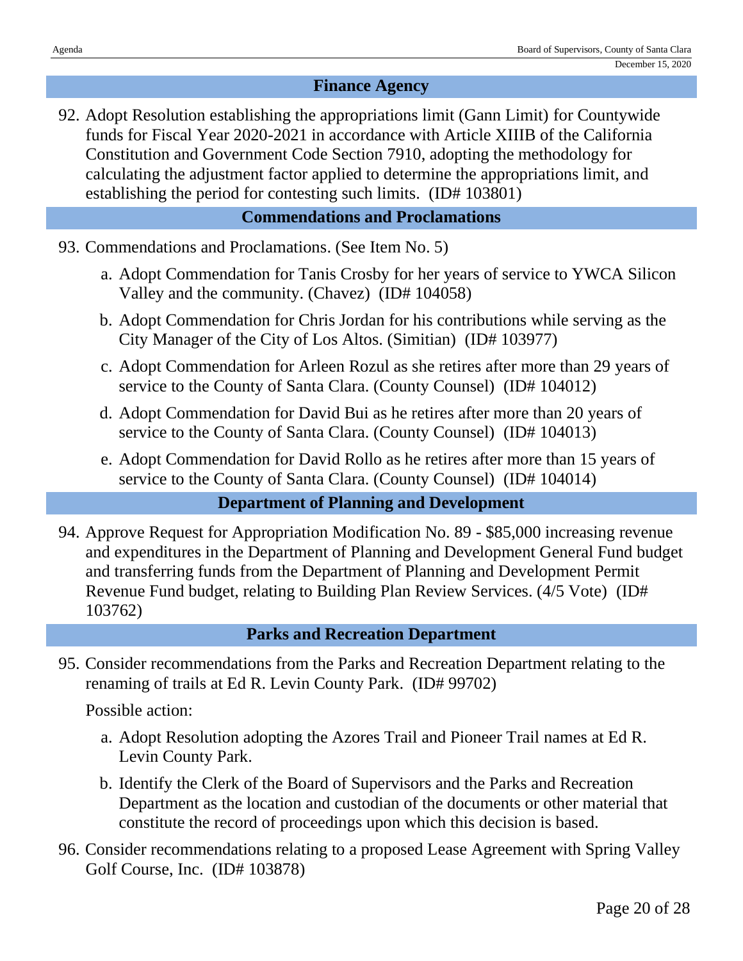## **Finance Agency**

92. Adopt Resolution establishing the appropriations limit (Gann Limit) for Countywide funds for Fiscal Year 2020-2021 in accordance with Article XIIIB of the California Constitution and Government Code Section 7910, adopting the methodology for calculating the adjustment factor applied to determine the appropriations limit, and establishing the period for contesting such limits. (ID# 103801)

## **Commendations and Proclamations**

- 93. Commendations and Proclamations. (See Item No. 5)
	- a. Adopt Commendation for Tanis Crosby for her years of service to YWCA Silicon Valley and the community. (Chavez) (ID# 104058)
	- b. Adopt Commendation for Chris Jordan for his contributions while serving as the City Manager of the City of Los Altos. (Simitian) (ID# 103977)
	- c. Adopt Commendation for Arleen Rozul as she retires after more than 29 years of service to the County of Santa Clara. (County Counsel) (ID# 104012)
	- d. Adopt Commendation for David Bui as he retires after more than 20 years of service to the County of Santa Clara. (County Counsel) (ID# 104013)
	- e. Adopt Commendation for David Rollo as he retires after more than 15 years of service to the County of Santa Clara. (County Counsel) (ID# 104014)

## **Department of Planning and Development**

94. Approve Request for Appropriation Modification No. 89 - \$85,000 increasing revenue and expenditures in the Department of Planning and Development General Fund budget and transferring funds from the Department of Planning and Development Permit Revenue Fund budget, relating to Building Plan Review Services. (4/5 Vote) (ID# 103762)

## **Parks and Recreation Department**

95. Consider recommendations from the Parks and Recreation Department relating to the renaming of trails at Ed R. Levin County Park. (ID# 99702)

- a. Adopt Resolution adopting the Azores Trail and Pioneer Trail names at Ed R. Levin County Park.
- b. Identify the Clerk of the Board of Supervisors and the Parks and Recreation Department as the location and custodian of the documents or other material that constitute the record of proceedings upon which this decision is based.
- 96. Consider recommendations relating to a proposed Lease Agreement with Spring Valley Golf Course, Inc. (ID# 103878)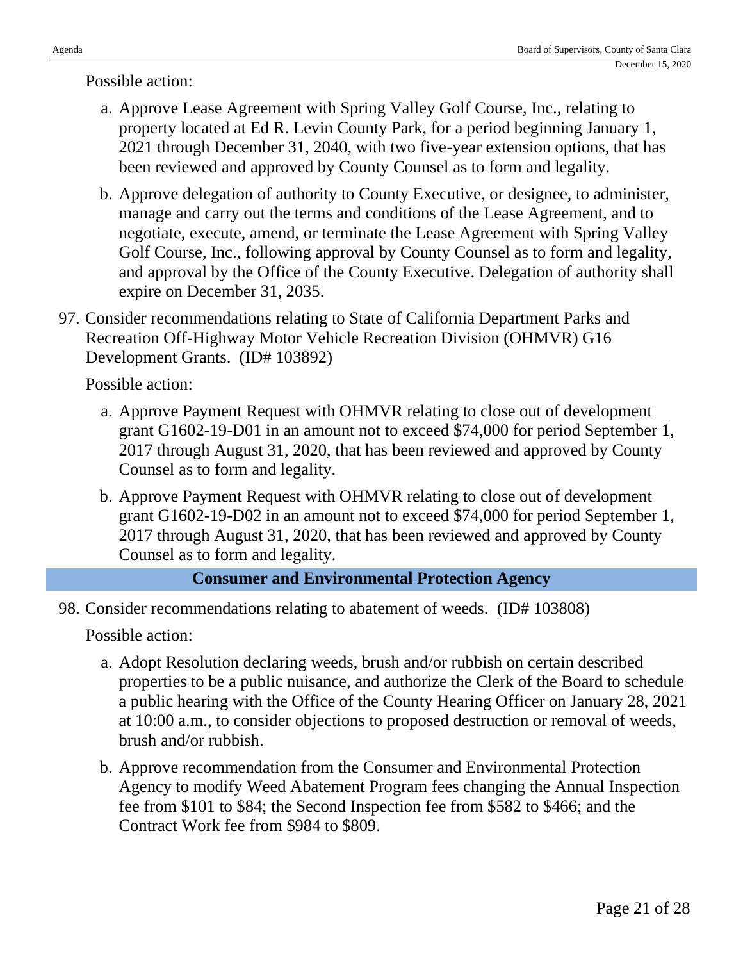Possible action:

- a. Approve Lease Agreement with Spring Valley Golf Course, Inc., relating to property located at Ed R. Levin County Park, for a period beginning January 1, 2021 through December 31, 2040, with two five-year extension options, that has been reviewed and approved by County Counsel as to form and legality.
- b. Approve delegation of authority to County Executive, or designee, to administer, manage and carry out the terms and conditions of the Lease Agreement, and to negotiate, execute, amend, or terminate the Lease Agreement with Spring Valley Golf Course, Inc., following approval by County Counsel as to form and legality, and approval by the Office of the County Executive. Delegation of authority shall expire on December 31, 2035.
- 97. Consider recommendations relating to State of California Department Parks and Recreation Off-Highway Motor Vehicle Recreation Division (OHMVR) G16 Development Grants. (ID# 103892)

Possible action:

- a. Approve Payment Request with OHMVR relating to close out of development grant G1602-19-D01 in an amount not to exceed \$74,000 for period September 1, 2017 through August 31, 2020, that has been reviewed and approved by County Counsel as to form and legality.
- b. Approve Payment Request with OHMVR relating to close out of development grant G1602-19-D02 in an amount not to exceed \$74,000 for period September 1, 2017 through August 31, 2020, that has been reviewed and approved by County Counsel as to form and legality.

## **Consumer and Environmental Protection Agency**

98. Consider recommendations relating to abatement of weeds. (ID# 103808)

- a. Adopt Resolution declaring weeds, brush and/or rubbish on certain described properties to be a public nuisance, and authorize the Clerk of the Board to schedule a public hearing with the Office of the County Hearing Officer on January 28, 2021 at 10:00 a.m., to consider objections to proposed destruction or removal of weeds, brush and/or rubbish.
- b. Approve recommendation from the Consumer and Environmental Protection Agency to modify Weed Abatement Program fees changing the Annual Inspection fee from \$101 to \$84; the Second Inspection fee from \$582 to \$466; and the Contract Work fee from \$984 to \$809.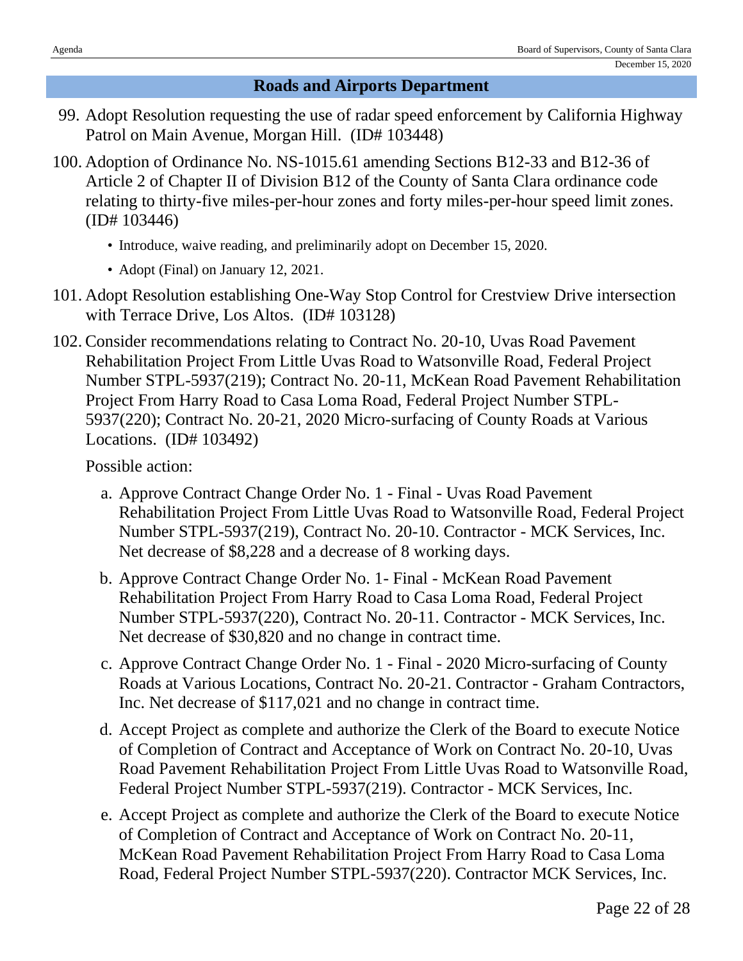## **Roads and Airports Department**

- 99. Adopt Resolution requesting the use of radar speed enforcement by California Highway Patrol on Main Avenue, Morgan Hill. (ID# 103448)
- 100. Adoption of Ordinance No. NS-1015.61 amending Sections B12-33 and B12-36 of Article 2 of Chapter II of Division B12 of the County of Santa Clara ordinance code relating to thirty-five miles-per-hour zones and forty miles-per-hour speed limit zones. (ID# 103446)
	- Introduce, waive reading, and preliminarily adopt on December 15, 2020.
	- Adopt (Final) on January 12, 2021.
- 101. Adopt Resolution establishing One-Way Stop Control for Crestview Drive intersection with Terrace Drive, Los Altos. (ID# 103128)
- 102. Consider recommendations relating to Contract No. 20-10, Uvas Road Pavement Rehabilitation Project From Little Uvas Road to Watsonville Road, Federal Project Number STPL-5937(219); Contract No. 20-11, McKean Road Pavement Rehabilitation Project From Harry Road to Casa Loma Road, Federal Project Number STPL-5937(220); Contract No. 20-21, 2020 Micro-surfacing of County Roads at Various Locations. (ID# 103492)

- a. Approve Contract Change Order No. 1 Final Uvas Road Pavement Rehabilitation Project From Little Uvas Road to Watsonville Road, Federal Project Number STPL-5937(219), Contract No. 20-10. Contractor - MCK Services, Inc. Net decrease of \$8,228 and a decrease of 8 working days.
- b. Approve Contract Change Order No. 1- Final McKean Road Pavement Rehabilitation Project From Harry Road to Casa Loma Road, Federal Project Number STPL-5937(220), Contract No. 20-11. Contractor - MCK Services, Inc. Net decrease of \$30,820 and no change in contract time.
- c. Approve Contract Change Order No. 1 Final 2020 Micro-surfacing of County Roads at Various Locations, Contract No. 20-21. Contractor - Graham Contractors, Inc. Net decrease of \$117,021 and no change in contract time.
- d. Accept Project as complete and authorize the Clerk of the Board to execute Notice of Completion of Contract and Acceptance of Work on Contract No. 20-10, Uvas Road Pavement Rehabilitation Project From Little Uvas Road to Watsonville Road, Federal Project Number STPL-5937(219). Contractor - MCK Services, Inc.
- e. Accept Project as complete and authorize the Clerk of the Board to execute Notice of Completion of Contract and Acceptance of Work on Contract No. 20-11, McKean Road Pavement Rehabilitation Project From Harry Road to Casa Loma Road, Federal Project Number STPL-5937(220). Contractor MCK Services, Inc.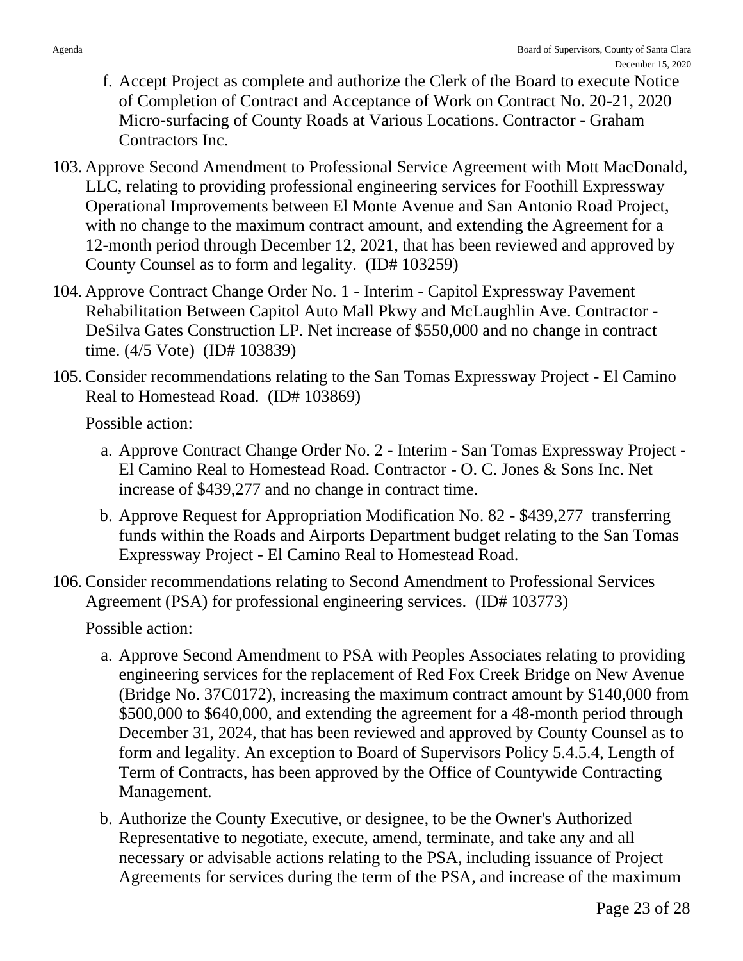- f. Accept Project as complete and authorize the Clerk of the Board to execute Notice of Completion of Contract and Acceptance of Work on Contract No. 20-21, 2020 Micro-surfacing of County Roads at Various Locations. Contractor - Graham Contractors Inc.
- 103. Approve Second Amendment to Professional Service Agreement with Mott MacDonald, LLC, relating to providing professional engineering services for Foothill Expressway Operational Improvements between El Monte Avenue and San Antonio Road Project, with no change to the maximum contract amount, and extending the Agreement for a 12-month period through December 12, 2021, that has been reviewed and approved by County Counsel as to form and legality. (ID# 103259)
- 104. Approve Contract Change Order No. 1 Interim Capitol Expressway Pavement Rehabilitation Between Capitol Auto Mall Pkwy and McLaughlin Ave. Contractor - DeSilva Gates Construction LP. Net increase of \$550,000 and no change in contract time. (4/5 Vote) (ID# 103839)
- 105. Consider recommendations relating to the San Tomas Expressway Project El Camino Real to Homestead Road. (ID# 103869)

Possible action:

- a. Approve Contract Change Order No. 2 Interim San Tomas Expressway Project El Camino Real to Homestead Road. Contractor - O. C. Jones & Sons Inc. Net increase of \$439,277 and no change in contract time.
- b. Approve Request for Appropriation Modification No. 82 \$439,277 transferring funds within the Roads and Airports Department budget relating to the San Tomas Expressway Project - El Camino Real to Homestead Road.
- 106. Consider recommendations relating to Second Amendment to Professional Services Agreement (PSA) for professional engineering services. (ID# 103773)

- a. Approve Second Amendment to PSA with Peoples Associates relating to providing engineering services for the replacement of Red Fox Creek Bridge on New Avenue (Bridge No. 37C0172), increasing the maximum contract amount by \$140,000 from \$500,000 to \$640,000, and extending the agreement for a 48-month period through December 31, 2024, that has been reviewed and approved by County Counsel as to form and legality. An exception to Board of Supervisors Policy 5.4.5.4, Length of Term of Contracts, has been approved by the Office of Countywide Contracting Management.
- b. Authorize the County Executive, or designee, to be the Owner's Authorized Representative to negotiate, execute, amend, terminate, and take any and all necessary or advisable actions relating to the PSA, including issuance of Project Agreements for services during the term of the PSA, and increase of the maximum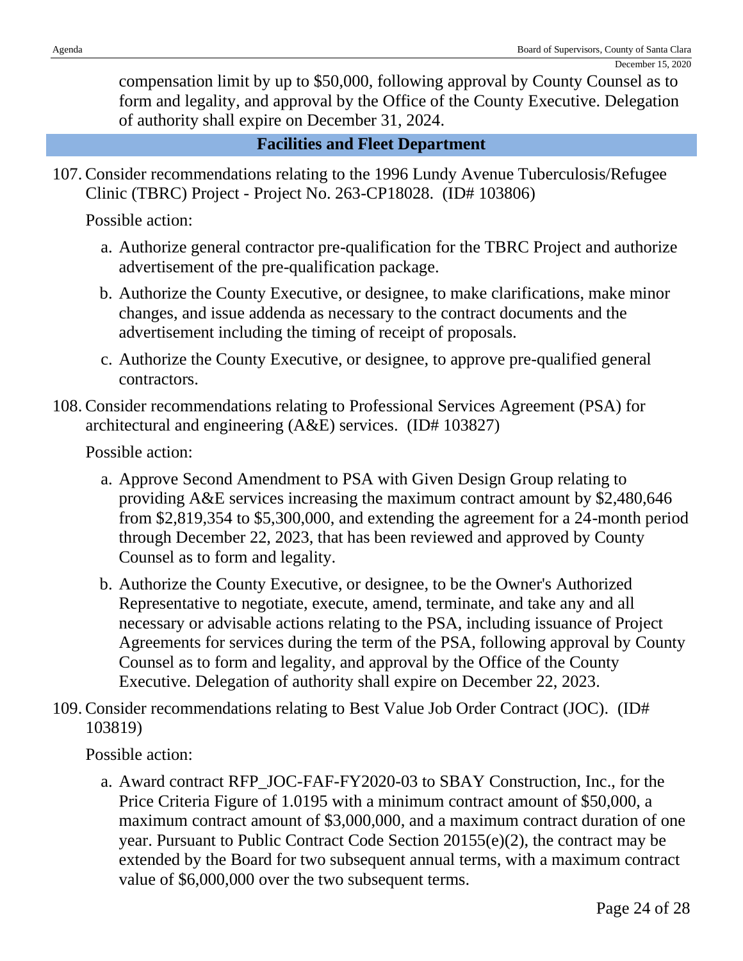compensation limit by up to \$50,000, following approval by County Counsel as to form and legality, and approval by the Office of the County Executive. Delegation of authority shall expire on December 31, 2024.

#### **Facilities and Fleet Department**

107. Consider recommendations relating to the 1996 Lundy Avenue Tuberculosis/Refugee Clinic (TBRC) Project - Project No. 263-CP18028. (ID# 103806)

Possible action:

- a. Authorize general contractor pre-qualification for the TBRC Project and authorize advertisement of the pre-qualification package.
- b. Authorize the County Executive, or designee, to make clarifications, make minor changes, and issue addenda as necessary to the contract documents and the advertisement including the timing of receipt of proposals.
- c. Authorize the County Executive, or designee, to approve pre-qualified general contractors.
- 108. Consider recommendations relating to Professional Services Agreement (PSA) for architectural and engineering (A&E) services. (ID# 103827)

Possible action:

- a. Approve Second Amendment to PSA with Given Design Group relating to providing A&E services increasing the maximum contract amount by \$2,480,646 from \$2,819,354 to \$5,300,000, and extending the agreement for a 24-month period through December 22, 2023, that has been reviewed and approved by County Counsel as to form and legality.
- b. Authorize the County Executive, or designee, to be the Owner's Authorized Representative to negotiate, execute, amend, terminate, and take any and all necessary or advisable actions relating to the PSA, including issuance of Project Agreements for services during the term of the PSA, following approval by County Counsel as to form and legality, and approval by the Office of the County Executive. Delegation of authority shall expire on December 22, 2023.
- 109. Consider recommendations relating to Best Value Job Order Contract (JOC). (ID# 103819)

Possible action:

a. Award contract RFP\_JOC-FAF-FY2020-03 to SBAY Construction, Inc., for the Price Criteria Figure of 1.0195 with a minimum contract amount of \$50,000, a maximum contract amount of \$3,000,000, and a maximum contract duration of one year. Pursuant to Public Contract Code Section 20155(e)(2), the contract may be extended by the Board for two subsequent annual terms, with a maximum contract value of \$6,000,000 over the two subsequent terms.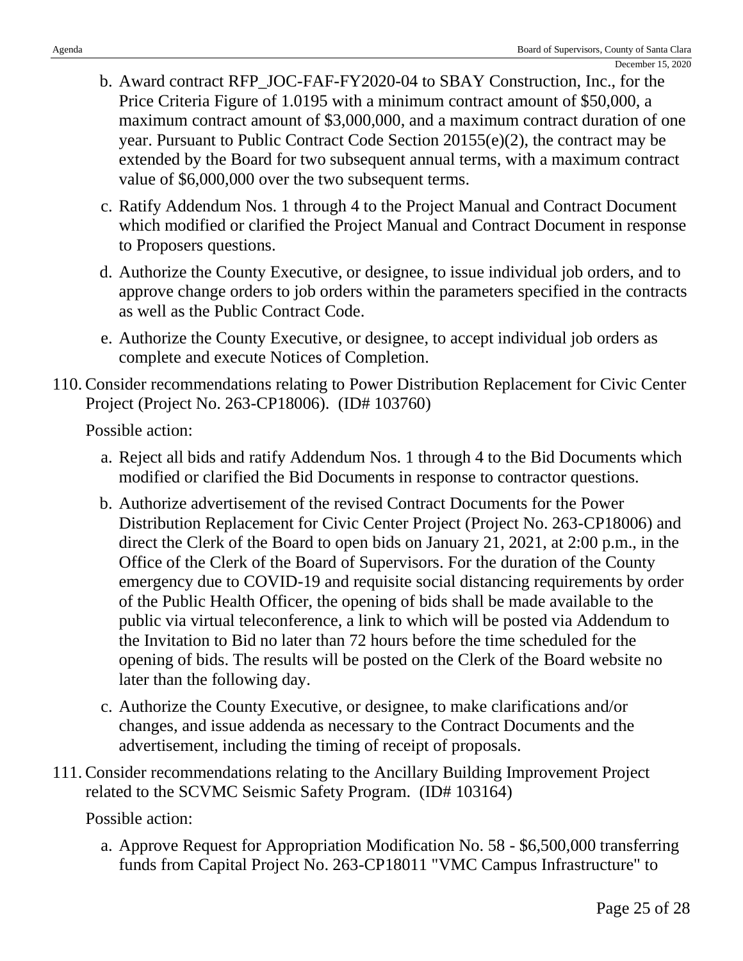- b. Award contract RFP\_JOC-FAF-FY2020-04 to SBAY Construction, Inc., for the Price Criteria Figure of 1.0195 with a minimum contract amount of \$50,000, a maximum contract amount of \$3,000,000, and a maximum contract duration of one year. Pursuant to Public Contract Code Section 20155(e)(2), the contract may be extended by the Board for two subsequent annual terms, with a maximum contract value of \$6,000,000 over the two subsequent terms.
- c. Ratify Addendum Nos. 1 through 4 to the Project Manual and Contract Document which modified or clarified the Project Manual and Contract Document in response to Proposers questions.
- d. Authorize the County Executive, or designee, to issue individual job orders, and to approve change orders to job orders within the parameters specified in the contracts as well as the Public Contract Code.
- e. Authorize the County Executive, or designee, to accept individual job orders as complete and execute Notices of Completion.
- 110. Consider recommendations relating to Power Distribution Replacement for Civic Center Project (Project No. 263-CP18006). (ID# 103760)

Possible action:

- a. Reject all bids and ratify Addendum Nos. 1 through 4 to the Bid Documents which modified or clarified the Bid Documents in response to contractor questions.
- b. Authorize advertisement of the revised Contract Documents for the Power Distribution Replacement for Civic Center Project (Project No. 263-CP18006) and direct the Clerk of the Board to open bids on January 21, 2021, at 2:00 p.m., in the Office of the Clerk of the Board of Supervisors. For the duration of the County emergency due to COVID-19 and requisite social distancing requirements by order of the Public Health Officer, the opening of bids shall be made available to the public via virtual teleconference, a link to which will be posted via Addendum to the Invitation to Bid no later than 72 hours before the time scheduled for the opening of bids. The results will be posted on the Clerk of the Board website no later than the following day.
- c. Authorize the County Executive, or designee, to make clarifications and/or changes, and issue addenda as necessary to the Contract Documents and the advertisement, including the timing of receipt of proposals.
- 111. Consider recommendations relating to the Ancillary Building Improvement Project related to the SCVMC Seismic Safety Program. (ID# 103164)

Possible action:

a. Approve Request for Appropriation Modification No. 58 - \$6,500,000 transferring funds from Capital Project No. 263-CP18011 "VMC Campus Infrastructure" to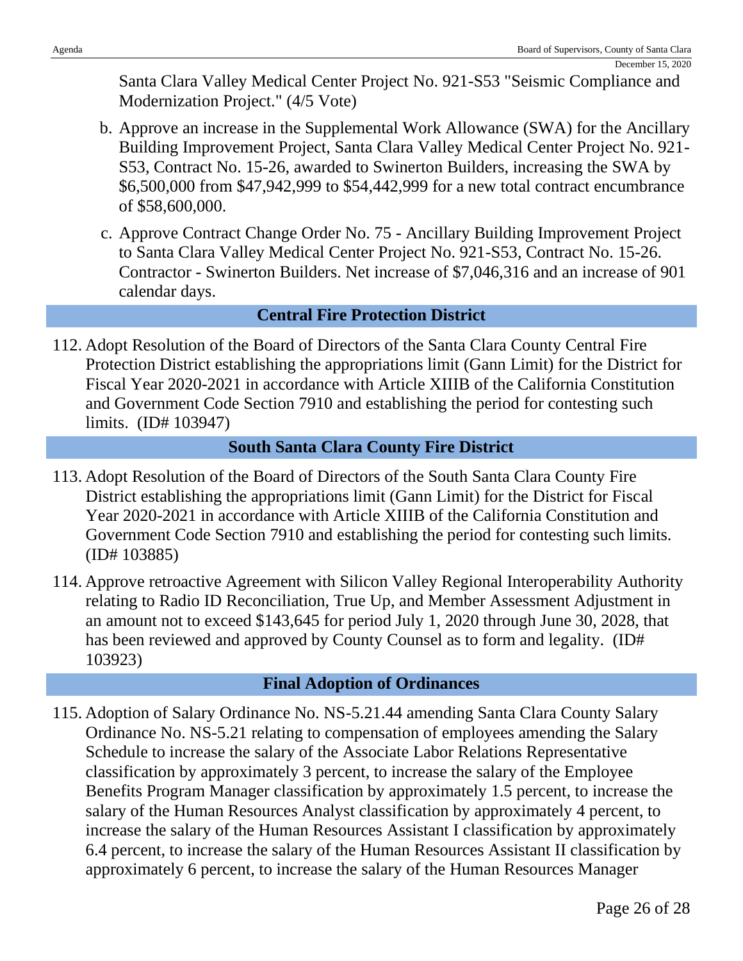Santa Clara Valley Medical Center Project No. 921-S53 "Seismic Compliance and Modernization Project." (4/5 Vote)

- b. Approve an increase in the Supplemental Work Allowance (SWA) for the Ancillary Building Improvement Project, Santa Clara Valley Medical Center Project No. 921- S53, Contract No. 15-26, awarded to Swinerton Builders, increasing the SWA by \$6,500,000 from \$47,942,999 to \$54,442,999 for a new total contract encumbrance of \$58,600,000.
- c. Approve Contract Change Order No. 75 Ancillary Building Improvement Project to Santa Clara Valley Medical Center Project No. 921-S53, Contract No. 15-26. Contractor - Swinerton Builders. Net increase of \$7,046,316 and an increase of 901 calendar days.

## **Central Fire Protection District**

112. Adopt Resolution of the Board of Directors of the Santa Clara County Central Fire Protection District establishing the appropriations limit (Gann Limit) for the District for Fiscal Year 2020-2021 in accordance with Article XIIIB of the California Constitution and Government Code Section 7910 and establishing the period for contesting such limits. (ID# 103947)

## **South Santa Clara County Fire District**

- 113. Adopt Resolution of the Board of Directors of the South Santa Clara County Fire District establishing the appropriations limit (Gann Limit) for the District for Fiscal Year 2020-2021 in accordance with Article XIIIB of the California Constitution and Government Code Section 7910 and establishing the period for contesting such limits. (ID# 103885)
- 114. Approve retroactive Agreement with Silicon Valley Regional Interoperability Authority relating to Radio ID Reconciliation, True Up, and Member Assessment Adjustment in an amount not to exceed \$143,645 for period July 1, 2020 through June 30, 2028, that has been reviewed and approved by County Counsel as to form and legality. (ID# 103923)

## **Final Adoption of Ordinances**

115. Adoption of Salary Ordinance No. NS-5.21.44 amending Santa Clara County Salary Ordinance No. NS-5.21 relating to compensation of employees amending the Salary Schedule to increase the salary of the Associate Labor Relations Representative classification by approximately 3 percent, to increase the salary of the Employee Benefits Program Manager classification by approximately 1.5 percent, to increase the salary of the Human Resources Analyst classification by approximately 4 percent, to increase the salary of the Human Resources Assistant I classification by approximately 6.4 percent, to increase the salary of the Human Resources Assistant II classification by approximately 6 percent, to increase the salary of the Human Resources Manager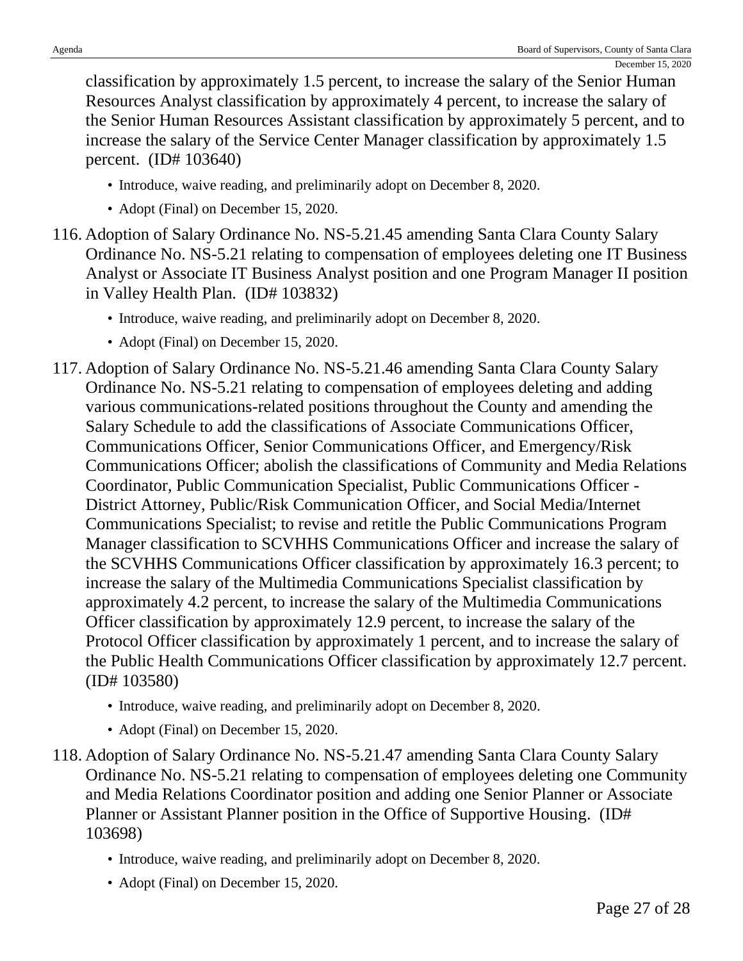classification by approximately 1.5 percent, to increase the salary of the Senior Human Resources Analyst classification by approximately 4 percent, to increase the salary of the Senior Human Resources Assistant classification by approximately 5 percent, and to increase the salary of the Service Center Manager classification by approximately 1.5 percent. (ID# 103640)

- Introduce, waive reading, and preliminarily adopt on December 8, 2020.
- Adopt (Final) on December 15, 2020.
- 116. Adoption of Salary Ordinance No. NS-5.21.45 amending Santa Clara County Salary Ordinance No. NS-5.21 relating to compensation of employees deleting one IT Business Analyst or Associate IT Business Analyst position and one Program Manager II position in Valley Health Plan. (ID# 103832)
	- Introduce, waive reading, and preliminarily adopt on December 8, 2020.
	- Adopt (Final) on December 15, 2020.
- 117. Adoption of Salary Ordinance No. NS-5.21.46 amending Santa Clara County Salary Ordinance No. NS-5.21 relating to compensation of employees deleting and adding various communications-related positions throughout the County and amending the Salary Schedule to add the classifications of Associate Communications Officer, Communications Officer, Senior Communications Officer, and Emergency/Risk Communications Officer; abolish the classifications of Community and Media Relations Coordinator, Public Communication Specialist, Public Communications Officer - District Attorney, Public/Risk Communication Officer, and Social Media/Internet Communications Specialist; to revise and retitle the Public Communications Program Manager classification to SCVHHS Communications Officer and increase the salary of the SCVHHS Communications Officer classification by approximately 16.3 percent; to increase the salary of the Multimedia Communications Specialist classification by approximately 4.2 percent, to increase the salary of the Multimedia Communications Officer classification by approximately 12.9 percent, to increase the salary of the Protocol Officer classification by approximately 1 percent, and to increase the salary of the Public Health Communications Officer classification by approximately 12.7 percent. (ID# 103580)
	- Introduce, waive reading, and preliminarily adopt on December 8, 2020.
	- Adopt (Final) on December 15, 2020.
- 118. Adoption of Salary Ordinance No. NS-5.21.47 amending Santa Clara County Salary Ordinance No. NS-5.21 relating to compensation of employees deleting one Community and Media Relations Coordinator position and adding one Senior Planner or Associate Planner or Assistant Planner position in the Office of Supportive Housing. (ID# 103698)
	- Introduce, waive reading, and preliminarily adopt on December 8, 2020.
	- Adopt (Final) on December 15, 2020.